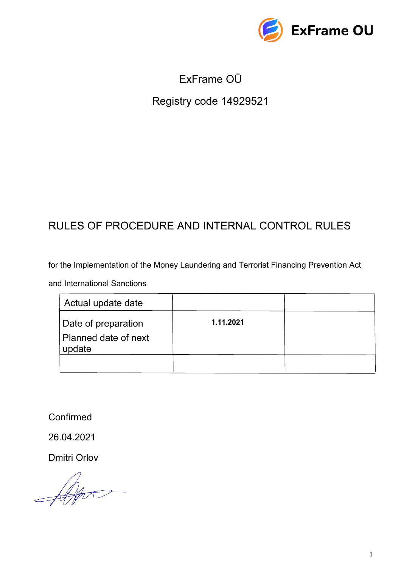

# ExFrame OÜ

# Registry code 14929521

# RULES OF PROCEDURE AND INTERNAL CONTROL RULES

for the Implementation of the Money Laundering and Terrorist Financing Prevention Act

and International Sanctions

| Actual update date             |           |  |
|--------------------------------|-----------|--|
| Date of preparation            | 1.11.2021 |  |
| Planned date of next<br>update |           |  |
|                                |           |  |

Confirmed

26.04.2021

Dmitri Orlov

 $\frac{1}{\sqrt{1-\frac{1}{2}}}\left( \frac{1}{\sqrt{1-\frac{1}{2}}}\right) \left( \frac{1}{\sqrt{1-\frac{1}{2}}}\right)$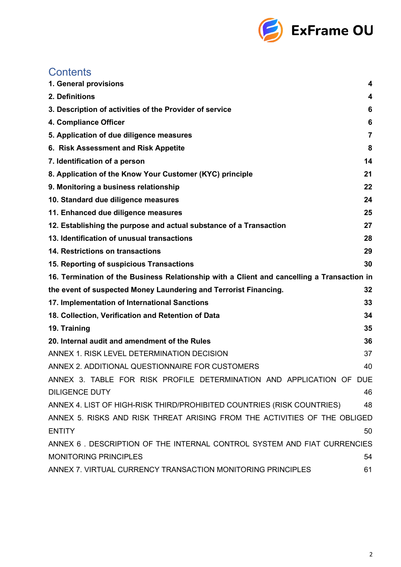

| <b>Contents</b>                                                                            |    |
|--------------------------------------------------------------------------------------------|----|
| 1. General provisions                                                                      | 4  |
| 2. Definitions                                                                             | 4  |
| 3. Description of activities of the Provider of service                                    | 6  |
| 4. Compliance Officer                                                                      | 6  |
| 5. Application of due diligence measures                                                   | 7  |
| 6. Risk Assessment and Risk Appetite                                                       | 8  |
| 7. Identification of a person                                                              | 14 |
| 8. Application of the Know Your Customer (KYC) principle                                   | 21 |
| 9. Monitoring a business relationship                                                      | 22 |
| 10. Standard due diligence measures                                                        | 24 |
| 11. Enhanced due diligence measures                                                        | 25 |
| 12. Establishing the purpose and actual substance of a Transaction                         | 27 |
| 13. Identification of unusual transactions                                                 | 28 |
| 14. Restrictions on transactions                                                           | 29 |
| 15. Reporting of suspicious Transactions                                                   | 30 |
| 16. Termination of the Business Relationship with a Client and cancelling a Transaction in |    |
| the event of suspected Money Laundering and Terrorist Financing.                           | 32 |
| 17. Implementation of International Sanctions                                              | 33 |
| 18. Collection, Verification and Retention of Data                                         | 34 |
| 19. Training                                                                               | 35 |
| 20. Internal audit and amendment of the Rules                                              | 36 |
| ANNEX 1. RISK LEVEL DETERMINATION DECISION                                                 | 37 |
| ANNEX 2. ADDITIONAL QUESTIONNAIRE FOR CUSTOMERS                                            | 40 |
| ANNEX 3. TABLE FOR RISK PROFILE DETERMINATION AND APPLICATION OF DUE                       |    |
| <b>DILIGENCE DUTY</b>                                                                      | 46 |
| ANNEX 4. LIST OF HIGH-RISK THIRD/PROHIBITED COUNTRIES (RISK COUNTRIES)                     | 48 |
| ANNEX 5. RISKS AND RISK THREAT ARISING FROM THE ACTIVITIES OF THE OBLIGED                  |    |
| <b>ENTITY</b>                                                                              | 50 |
| ANNEX 6. DESCRIPTION OF THE INTERNAL CONTROL SYSTEM AND FIAT CURRENCIES                    |    |
| <b>MONITORING PRINCIPLES</b>                                                               | 54 |
| ANNEX 7. VIRTUAL CURRENCY TRANSACTION MONITORING PRINCIPLES                                | 61 |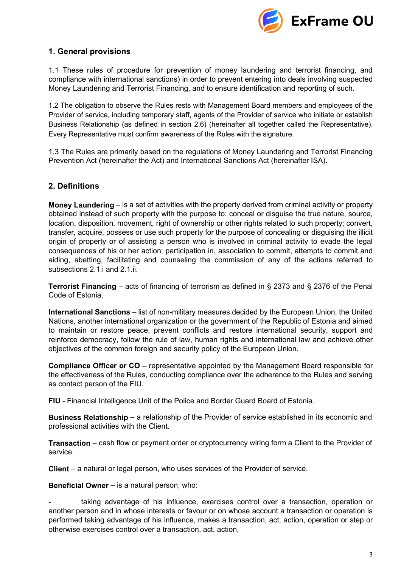

## **1. General provisions**

1.1 These rules of procedure for prevention of money laundering and terrorist financing, and compliance with international sanctions) in order to prevent entering into deals involving suspected Money Laundering and Terrorist Financing, and to ensure identification and reporting of such.

1.2 The obligation to observe the Rules rests with Management Board members and employees of the Provider of service, including temporary staff, agents of the Provider of service who initiate or establish Business Relationship (as defined in section 2.6) (hereinafter all together called the Representative). Every Representative must confirm awareness of the Rules with the signature.

1.3 The Rules are primarily based on the regulations of Money Laundering and Terrorist Financing Prevention Act (hereinafter the Act) and International Sanctions Act (hereinafter ISA).

## <span id="page-2-0"></span>**2. Definitions**

**Money Laundering** – is a set of activities with the property derived from criminal activity or property obtained instead of such property with the purpose to: conceal or disguise the true nature, source, location, disposition, movement, right of ownership or other rights related to such property; convert, transfer, acquire, possess or use such property for the purpose of concealing or disguising the illicit origin of property or of assisting a person who is involved in criminal activity to evade the legal consequences of his or her action; participation in, association to commit, attempts to commit and aiding, abetting, facilitating and counseling the commission of any of the actions referred to subsections 2.1.i and 2.1.ii.

**Terrorist Financing** – acts of financing of terrorism as defined in § 2373 and § 2376 of the Penal Code of Estonia.

**International Sanctions** – list of non-military measures decided by the European Union, the United Nations, another international organization or the government of the Republic of Estonia and aimed to maintain or restore peace, prevent conflicts and restore international security, support and reinforce democracy, follow the rule of law, human rights and international law and achieve other objectives of the common foreign and security policy of the European Union.

**Compliance Officer or CO** – representative appointed by the Management Board responsible for the effectiveness of the Rules, conducting compliance over the adherence to the Rules and serving as contact person of the FIU.

**FIU** - Financial Intelligence Unit of the Police and Border Guard Board of Estonia.

**Business Relationship** – a relationship of the Provider of service established in its economic and professional activities with the Client.

**Transaction** – cash flow or payment order or cryptocurrency wiring form a Client to the Provider of service.

**Client** – a natural or legal person, who uses services of the Provider of service.

**Beneficial Owner** – is a natural person, who:

taking advantage of his influence, exercises control over a transaction, operation or another person and in whose interests or favour or on whose account a transaction or operation is performed taking advantage of his influence, makes a transaction, act, action, operation or step or otherwise exercises control over a transaction, act, action,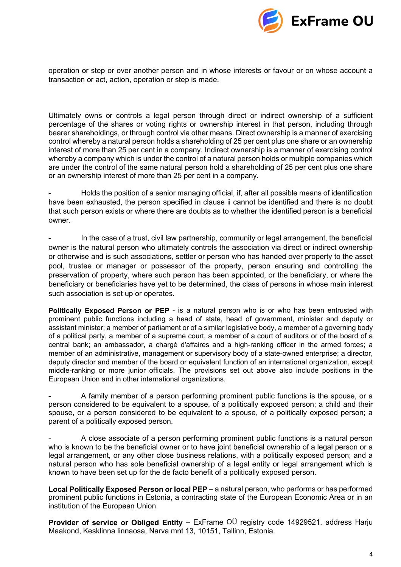

operation or step or over another person and in whose interests or favour or on whose account a transaction or act, action, operation or step is made.

Ultimately owns or controls a legal person through direct or indirect ownership of a sufficient percentage of the shares or voting rights or ownership interest in that person, including through bearer shareholdings, or through control via other means. Direct ownership is a manner of exercising control whereby a natural person holds a shareholding of 25 per cent plus one share or an ownership interest of more than 25 per cent in a company. Indirect ownership is a manner of exercising control whereby a company which is under the control of a natural person holds or multiple companies which are under the control of the same natural person hold a shareholding of 25 per cent plus one share or an ownership interest of more than 25 per cent in a company.

- Holds the position of a senior managing official, if, after all possible means of identification have been exhausted, the person specified in clause ii cannot be identified and there is no doubt that such person exists or where there are doubts as to whether the identified person is a beneficial owner.

In the case of a trust, civil law partnership, community or legal arrangement, the beneficial owner is the natural person who ultimately controls the association via direct or indirect ownership or otherwise and is such associations, settler or person who has handed over property to the asset pool, trustee or manager or possessor of the property, person ensuring and controlling the preservation of property, where such person has been appointed, or the beneficiary, or where the beneficiary or beneficiaries have yet to be determined, the class of persons in whose main interest such association is set up or operates.

**Politically Exposed Person or PEP** - is a natural person who is or who has been entrusted with prominent public functions including a head of state, head of government, minister and deputy or assistant minister; a member of parliament or of a similar legislative body, a member of a governing body of a political party, a member of a supreme court, a member of a court of auditors or of the board of a central bank; an ambassador, a chargé d'affaires and a high-ranking officer in the armed forces; a member of an administrative, management or supervisory body of a state-owned enterprise; a director, deputy director and member of the board or equivalent function of an international organization, except middle-ranking or more junior officials. The provisions set out above also include positions in the European Union and in other international organizations.

A family member of a person performing prominent public functions is the spouse, or a person considered to be equivalent to a spouse, of a politically exposed person; a child and their spouse, or a person considered to be equivalent to a spouse, of a politically exposed person; a parent of a politically exposed person.

- A close associate of a person performing prominent public functions is a natural person who is known to be the beneficial owner or to have joint beneficial ownership of a legal person or a legal arrangement, or any other close business relations, with a politically exposed person; and a natural person who has sole beneficial ownership of a legal entity or legal arrangement which is known to have been set up for the de facto benefit of a politically exposed person.

**Local Politically Exposed Person or local PEP** – a natural person, who performs or has performed prominent public functions in Estonia, a contracting state of the European Economic Area or in an institution of the European Union.

**Provider of service or Obliged Entity** – ExFrame OÜ registry code 14929521, address Harju Maakond, Kesklinna linnaosa, Narva mnt 13, 10151, Tallinn, Estonia.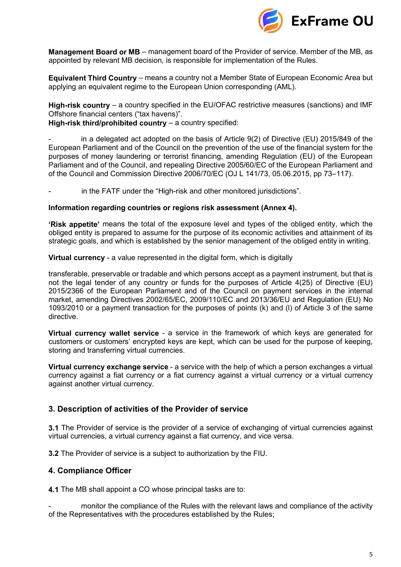

**Management Board or MB** – management board of the Provider of service. Member of the MB, as appointed by relevant MB decision, is responsible for implementation of the Rules.

**Equivalent Third Country** – means a country not a Member State of European Economic Area but applying an equivalent regime to the European Union corresponding (AML).

**High-risk country** – a country specified in the EU/OFAC restrictive measures (sanctions) and IMF Offshore financial centers ("tax havens)".

**High-risk third/prohibited country** – a country specified:

in a delegated act adopted on the basis of Article  $9(2)$  of Directive (EU) 2015/849 of the European Parliament and of the Council on the prevention of the use of the financial system for the purposes of money laundering or terrorist financing, amending Regulation (EU) of the European Parliament and of the Council, and repealing Directive 2005/60/EC of the European Parliament and of the Council and Commission Directive 2006/70/EC (OJ L 141/73, 05.06.2015, pp 73–117).

in the FATF under the "High-risk and other monitored jurisdictions".

#### **Information regarding countries or regions risk assessment (Annex 4).**

**'Risk appetite'** means the total of the exposure level and types of the obliged entity, which the obliged entity is prepared to assume for the purpose of its economic activities and attainment of its strategic goals, and which is established by the senior management of the obliged entity in writing.

**Virtual currency** - a value represented in the digital form, which is digitally

transferable, preservable or tradable and which persons accept as a payment instrument, but that is not the legal tender of any country or funds for the purposes of Article 4(25) of Directive (EU) 2015/2366 of the European Parliament and of the Council on payment services in the internal market, amending Directives 2002/65/EC, 2009/110/EC and 2013/36/EU and Regulation (EU) No 1093/2010 or a payment transaction for the purposes of points (k) and (l) of Article 3 of the same directive.

**Virtual currency wallet service** - a service in the framework of which keys are generated for customers or customers' encrypted keys are kept, which can be used for the purpose of keeping, storing and transferring virtual currencies.

**Virtual currency exchange service** - a service with the help of which a person exchanges a virtual currency against a fiat currency or a fiat currency against a virtual currency or a virtual currency against another virtual currency.

#### <span id="page-4-0"></span>**3. Description of activities of the Provider of service**

**3.1** The Provider of service is the provider of a service of exchanging of virtual currencies against virtual currencies, a virtual currency against a fiat currency, and vice versa.

<span id="page-4-1"></span>**3.2** The Provider of service is a subject to authorization by the FIU.

## **4. Compliance Officer**

**4.1** The MB shall appoint a CO whose principal tasks are to:

monitor the compliance of the Rules with the relevant laws and compliance of the activity of the Representatives with the procedures established by the Rules;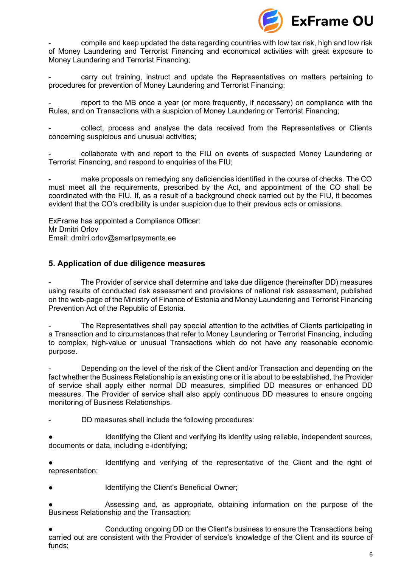

- compile and keep updated the data regarding countries with low tax risk, high and low risk of Money Laundering and Terrorist Financing and economical activities with great exposure to Money Laundering and Terrorist Financing;

carry out training, instruct and update the Representatives on matters pertaining to procedures for prevention of Money Laundering and Terrorist Financing;

report to the MB once a year (or more frequently, if necessary) on compliance with the Rules, and on Transactions with a suspicion of Money Laundering or Terrorist Financing;

- collect, process and analyse the data received from the Representatives or Clients concerning suspicious and unusual activities;

- collaborate with and report to the FIU on events of suspected Money Laundering or Terrorist Financing, and respond to enquiries of the FIU;

make proposals on remedying any deficiencies identified in the course of checks. The CO must meet all the requirements, prescribed by the Act, and appointment of the CO shall be coordinated with the FIU. If, as a result of a background check carried out by the FIU, it becomes evident that the CO's credibility is under suspicion due to their previous acts or omissions.

ExFrame has appointed a Compliance Officer: Mr Dmitri Orlov Email: dmitri.orlov@smartpayments.ee

## **5. Application of due diligence measures**

The Provider of service shall determine and take due diligence (hereinafter DD) measures using results of conducted risk assessment and provisions of national risk assessment, published on the web-page of the Ministry of Finance of Estonia and Money Laundering and Terrorist Financing Prevention Act of the Republic of Estonia.

The Representatives shall pay special attention to the activities of Clients participating in a Transaction and to circumstances that refer to Money Laundering or Terrorist Financing, including to complex, high-value or unusual Transactions which do not have any reasonable economic purpose.

Depending on the level of the risk of the Client and/or Transaction and depending on the fact whether the Business Relationship is an existing one or it is about to be established, the Provider of service shall apply either normal DD measures, simplified DD measures or enhanced DD measures. The Provider of service shall also apply continuous DD measures to ensure ongoing monitoring of Business Relationships.

DD measures shall include the following procedures:

Identifying the Client and verifying its identity using reliable, independent sources, documents or data, including e-identifying;

Identifying and verifying of the representative of the Client and the right of representation;

Identifying the Client's Beneficial Owner;

Assessing and, as appropriate, obtaining information on the purpose of the Business Relationship and the Transaction;

Conducting ongoing DD on the Client's business to ensure the Transactions being carried out are consistent with the Provider of service's knowledge of the Client and its source of funds;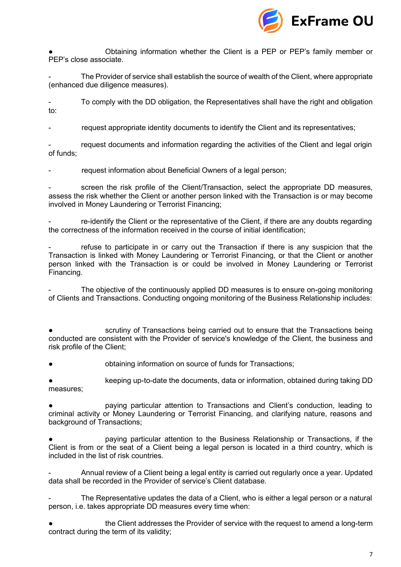

Obtaining information whether the Client is a PEP or PEP's family member or PEP's close associate.

The Provider of service shall establish the source of wealth of the Client, where appropriate (enhanced due diligence measures).

- To comply with the DD obligation, the Representatives shall have the right and obligation to:

request appropriate identity documents to identify the Client and its representatives;

request documents and information regarding the activities of the Client and legal origin of funds;

request information about Beneficial Owners of a legal person;

screen the risk profile of the Client/Transaction, select the appropriate DD measures, assess the risk whether the Client or another person linked with the Transaction is or may become involved in Money Laundering or Terrorist Financing;

re-identify the Client or the representative of the Client, if there are any doubts regarding the correctness of the information received in the course of initial identification;

refuse to participate in or carry out the Transaction if there is any suspicion that the Transaction is linked with Money Laundering or Terrorist Financing, or that the Client or another person linked with the Transaction is or could be involved in Money Laundering or Terrorist Financing.

The objective of the continuously applied DD measures is to ensure on-going monitoring of Clients and Transactions. Conducting ongoing monitoring of the Business Relationship includes:

scrutiny of Transactions being carried out to ensure that the Transactions being conducted are consistent with the Provider of service's knowledge of the Client, the business and risk profile of the Client;

obtaining information on source of funds for Transactions;

keeping up-to-date the documents, data or information, obtained during taking DD measures;

paying particular attention to Transactions and Client's conduction, leading to criminal activity or Money Laundering or Terrorist Financing, and clarifying nature, reasons and background of Transactions;

paying particular attention to the Business Relationship or Transactions, if the Client is from or the seat of a Client being a legal person is located in a third country, which is included in the list of risk countries.

- Annual review of a Client being a legal entity is carried out regularly once a year. Updated data shall be recorded in the Provider of service's Client database.

The Representative updates the data of a Client, who is either a legal person or a natural person, i.e. takes appropriate DD measures every time when:

the Client addresses the Provider of service with the request to amend a long-term contract during the term of its validity;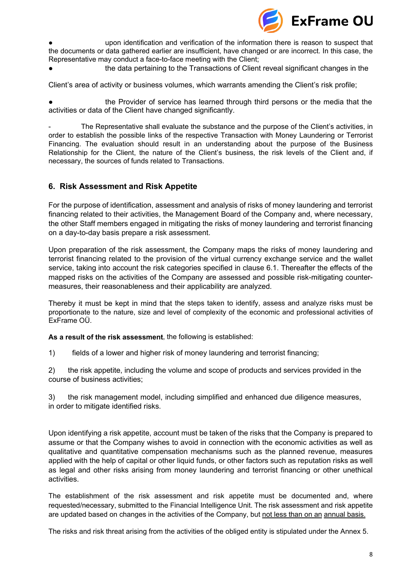

upon identification and verification of the information there is reason to suspect that the documents or data gathered earlier are insufficient, have changed or are incorrect. In this case, the Representative may conduct a face-to-face meeting with the Client;

the data pertaining to the Transactions of Client reveal significant changes in the

Client's area of activity or business volumes, which warrants amending the Client's risk profile;

the Provider of service has learned through third persons or the media that the activities or data of the Client have changed significantly.

The Representative shall evaluate the substance and the purpose of the Client's activities, in order to establish the possible links of the respective Transaction with Money Laundering or Terrorist Financing. The evaluation should result in an understanding about the purpose of the Business Relationship for the Client, the nature of the Client's business, the risk levels of the Client and, if necessary, the sources of funds related to Transactions.

## <span id="page-7-0"></span>**6. Risk Assessment and Risk Appetite**

For the purpose of identification, assessment and analysis of risks of money laundering and terrorist financing related to their activities, the Management Board of the Company and, where necessary, the other Staff members engaged in mitigating the risks of money laundering and terrorist financing on a day-to-day basis prepare a risk assessment.

Upon preparation of the risk assessment, the Company maps the risks of money laundering and terrorist financing related to the provision of the virtual currency exchange service and the wallet service, taking into account the risk categories specified in clause 6.1. Thereafter the effects of the mapped risks on the activities of the Company are assessed and possible risk-mitigating countermeasures, their reasonableness and their applicability are analyzed.

Thereby it must be kept in mind that the steps taken to identify, assess and analyze risks must be proportionate to the nature, size and level of complexity of the economic and professional activities of ExFrame OÜ.

**As a result of the risk assessment**, the following is established:

1) fields of a lower and higher risk of money laundering and terrorist financing;

2) the risk appetite, including the volume and scope of products and services provided in the course of business activities;

3) the risk management model, including simplified and enhanced due diligence measures, in order to mitigate identified risks.

Upon identifying a risk appetite, account must be taken of the risks that the Company is prepared to assume or that the Company wishes to avoid in connection with the economic activities as well as qualitative and quantitative compensation mechanisms such as the planned revenue, measures applied with the help of capital or other liquid funds, or other factors such as reputation risks as well as legal and other risks arising from money laundering and terrorist financing or other unethical activities.

The establishment of the risk assessment and risk appetite must be documented and, where requested/necessary, submitted to the Financial Intelligence Unit. The risk assessment and risk appetite are updated based on changes in the activities of the Company, but not less than on an annual basis.

The risks and risk threat arising from the activities of the obliged entity is stipulated under the Annex 5.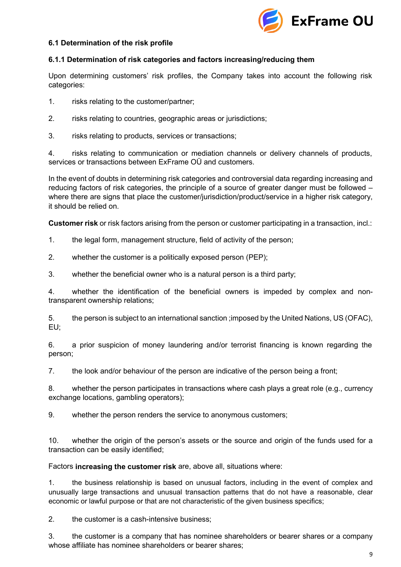

#### **6.1 Determination of the risk profile**

## **6.1.1 Determination of risk categories and factors increasing/reducing them**

Upon determining customers' risk profiles, the Company takes into account the following risk categories:

- 1. risks relating to the customer/partner;
- 2. risks relating to countries, geographic areas or jurisdictions;
- 3. risks relating to products, services or transactions;

4. risks relating to communication or mediation channels or delivery channels of products, services or transactions between ExFrame OÜ and customers.

In the event of doubts in determining risk categories and controversial data regarding increasing and reducing factors of risk categories, the principle of a source of greater danger must be followed – where there are signs that place the customer/jurisdiction/product/service in a higher risk category, it should be relied on.

**Customer risk** or risk factors arising from the person or customer participating in a transaction, incl.:

- 1. the legal form, management structure, field of activity of the person;
- 2. whether the customer is a politically exposed person (PEP);
- 3. whether the beneficial owner who is a natural person is a third party;

4. whether the identification of the beneficial owners is impeded by complex and nontransparent ownership relations;

5. the person is subject to an international sanction ;imposed by the United Nations, US (OFAC), EU;

6. a prior suspicion of money laundering and/or terrorist financing is known regarding the person;

7. the look and/or behaviour of the person are indicative of the person being a front;

8. whether the person participates in transactions where cash plays a great role (e.g., currency exchange locations, gambling operators);

9. whether the person renders the service to anonymous customers;

10. whether the origin of the person's assets or the source and origin of the funds used for a transaction can be easily identified;

Factors **increasing the customer risk** are, above all, situations where:

1. the business relationship is based on unusual factors, including in the event of complex and unusually large transactions and unusual transaction patterns that do not have a reasonable, clear economic or lawful purpose or that are not characteristic of the given business specifics;

2. the customer is a cash-intensive business;

3. the customer is a company that has nominee shareholders or bearer shares or a company whose affiliate has nominee shareholders or bearer shares;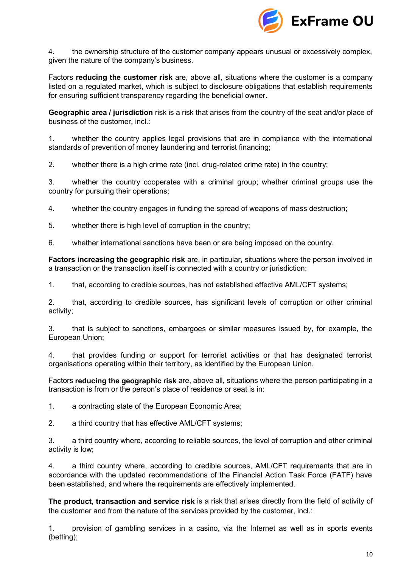

4. the ownership structure of the customer company appears unusual or excessively complex, given the nature of the company's business.

Factors **reducing the customer risk** are, above all, situations where the customer is a company listed on a regulated market, which is subject to disclosure obligations that establish requirements for ensuring sufficient transparency regarding the beneficial owner.

**Geographic area / jurisdiction** risk is a risk that arises from the country of the seat and/or place of business of the customer, incl.:

1. whether the country applies legal provisions that are in compliance with the international standards of prevention of money laundering and terrorist financing;

2. whether there is a high crime rate (incl. drug-related crime rate) in the country;

3. whether the country cooperates with a criminal group; whether criminal groups use the country for pursuing their operations;

4. whether the country engages in funding the spread of weapons of mass destruction;

5. whether there is high level of corruption in the country;

6. whether international sanctions have been or are being imposed on the country.

**Factors increasing the geographic risk** are, in particular, situations where the person involved in a transaction or the transaction itself is connected with a country or jurisdiction:

1. that, according to credible sources, has not established effective AML/CFT systems;

2. that, according to credible sources, has significant levels of corruption or other criminal activity;

3. that is subject to sanctions, embargoes or similar measures issued by, for example, the European Union;

4. that provides funding or support for terrorist activities or that has designated terrorist organisations operating within their territory, as identified by the European Union.

Factors **reducing the geographic risk** are, above all, situations where the person participating in a transaction is from or the person's place of residence or seat is in:

1. a contracting state of the European Economic Area;

2. a third country that has effective AML/CFT systems;

3. a third country where, according to reliable sources, the level of corruption and other criminal activity is low;

4. a third country where, according to credible sources, AML/CFT requirements that are in accordance with the updated recommendations of the Financial Action Task Force (FATF) have been established, and where the requirements are effectively implemented.

**The product, transaction and service risk** is a risk that arises directly from the field of activity of the customer and from the nature of the services provided by the customer, incl.:

1. provision of gambling services in a casino, via the Internet as well as in sports events (betting);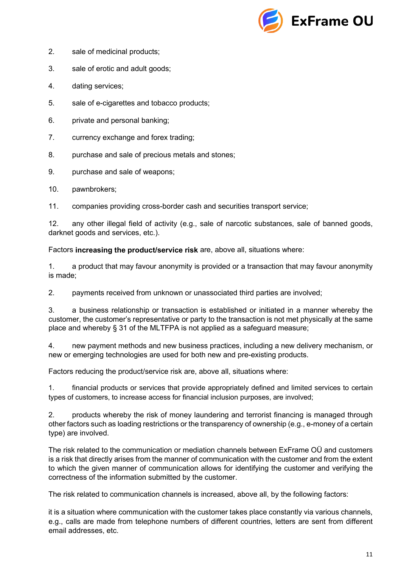

- 2. sale of medicinal products;
- 3. sale of erotic and adult goods;
- 4. dating services;
- 5. sale of e-cigarettes and tobacco products;
- 6. private and personal banking;
- 7. currency exchange and forex trading;
- 8. purchase and sale of precious metals and stones;
- 9. purchase and sale of weapons;
- 10. pawnbrokers;
- 11. companies providing cross-border cash and securities transport service;

12. any other illegal field of activity (e.g., sale of narcotic substances, sale of banned goods, darknet goods and services, etc.).

Factors **increasing the product/service risk** are, above all, situations where:

1. a product that may favour anonymity is provided or a transaction that may favour anonymity is made;

2. payments received from unknown or unassociated third parties are involved;

3. a business relationship or transaction is established or initiated in a manner whereby the customer, the customer's representative or party to the transaction is not met physically at the same place and whereby § 31 of the MLTFPA is not applied as a safeguard measure;

4. new payment methods and new business practices, including a new delivery mechanism, or new or emerging technologies are used for both new and pre-existing products.

Factors reducing the product/service risk are, above all, situations where:

1. financial products or services that provide appropriately defined and limited services to certain types of customers, to increase access for financial inclusion purposes, are involved;

2. products whereby the risk of money laundering and terrorist financing is managed through other factors such as loading restrictions or the transparency of ownership (e.g., e-money of a certain type) are involved.

The risk related to the communication or mediation channels between ExFrame OÜ and customers is a risk that directly arises from the manner of communication with the customer and from the extent to which the given manner of communication allows for identifying the customer and verifying the correctness of the information submitted by the customer.

The risk related to communication channels is increased, above all, by the following factors:

it is a situation where communication with the customer takes place constantly via various channels, e.g., calls are made from telephone numbers of different countries, letters are sent from different email addresses, etc.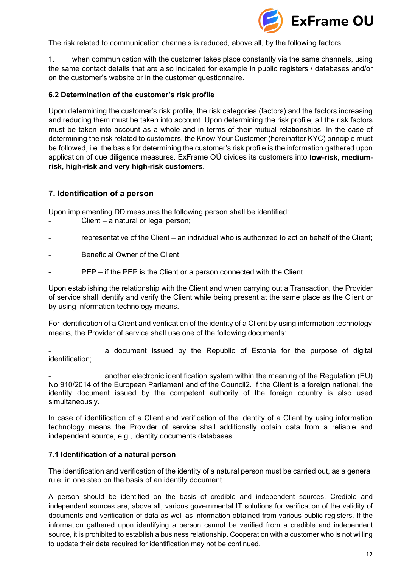

The risk related to communication channels is reduced, above all, by the following factors:

1. when communication with the customer takes place constantly via the same channels, using the same contact details that are also indicated for example in public registers / databases and/or on the customer's website or in the customer questionnaire.

#### **6.2 Determination of the customer's risk profile**

Upon determining the customer's risk profile, the risk categories (factors) and the factors increasing and reducing them must be taken into account. Upon determining the risk profile, all the risk factors must be taken into account as a whole and in terms of their mutual relationships. In the case of determining the risk related to customers, the Know Your Customer (hereinafter KYC) principle must be followed, i.e. the basis for determining the customer's risk profile is the information gathered upon application of due diligence measures. ExFrame OÜ divides its customers into **low-risk, mediumrisk, high-risk and very high-risk customers**.

## **7. Identification of a person**

Upon implementing DD measures the following person shall be identified:

- Client a natural or legal person;
- representative of the Client an individual who is authorized to act on behalf of the Client;
- Beneficial Owner of the Client;
- PEP if the PEP is the Client or a person connected with the Client.

Upon establishing the relationship with the Client and when carrying out a Transaction, the Provider of service shall identify and verify the Client while being present at the same place as the Client or by using information technology means.

For identification of a Client and verification of the identity of a Client by using information technology means, the Provider of service shall use one of the following documents:

a document issued by the Republic of Estonia for the purpose of digital identification;

another electronic identification system within the meaning of the Regulation (EU) No 910/2014 of the European Parliament and of the Council2. If the Client is a foreign national, the identity document issued by the competent authority of the foreign country is also used simultaneously.

In case of identification of a Client and verification of the identity of a Client by using information technology means the Provider of service shall additionally obtain data from a reliable and independent source, e.g., identity documents databases.

#### **7.1 Identification of a natural person**

The identification and verification of the identity of a natural person must be carried out, as a general rule, in one step on the basis of an identity document.

A person should be identified on the basis of credible and independent sources. Credible and independent sources are, above all, various governmental IT solutions for verification of the validity of documents and verification of data as well as information obtained from various public registers. If the information gathered upon identifying a person cannot be verified from a credible and independent source, it is prohibited to establish a business relationship. Cooperation with a customer who is not willing to update their data required for identification may not be continued.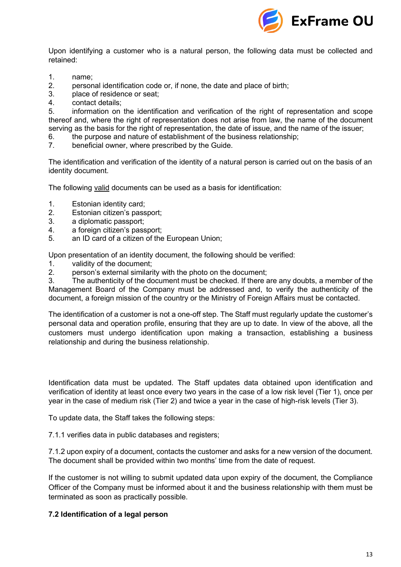

Upon identifying a customer who is a natural person, the following data must be collected and retained:

- 1. name;<br>2. person
- 2. personal identification code or, if none, the date and place of birth;<br>3. blace of residence or seat:
- 3. place of residence or seat;<br>4. contact details:
- contact details;

5. information on the identification and verification of the right of representation and scope thereof and, where the right of representation does not arise from law, the name of the document serving as the basis for the right of representation, the date of issue, and the name of the issuer;

- 6. the purpose and nature of establishment of the business relationship;<br>7. beneficial owner, where prescribed by the Guide.
- beneficial owner, where prescribed by the Guide.

The identification and verification of the identity of a natural person is carried out on the basis of an identity document.

The following valid documents can be used as a basis for identification:

- 1. Estonian identity card;
- 2. Estonian citizen's passport;
- 3. a diplomatic passport;
- 4. a foreign citizen's passport;
- 5. an ID card of a citizen of the European Union;

Upon presentation of an identity document, the following should be verified:

- 1. validity of the document;
- 2. person's external similarity with the photo on the document;

3. The authenticity of the document must be checked. If there are any doubts, a member of the Management Board of the Company must be addressed and, to verify the authenticity of the document, a foreign mission of the country or the Ministry of Foreign Affairs must be contacted.

The identification of a customer is not a one-off step. The Staff must regularly update the customer's personal data and operation profile, ensuring that they are up to date. In view of the above, all the customers must undergo identification upon making a transaction, establishing a business relationship and during the business relationship.

Identification data must be updated. The Staff updates data obtained upon identification and verification of identity at least once every two years in the case of a low risk level (Tier 1), once per year in the case of medium risk (Tier 2) and twice a year in the case of high-risk levels (Tier 3).

To update data, the Staff takes the following steps:

7.1.1 verifies data in public databases and registers;

7.1.2 upon expiry of a document, contacts the customer and asks for a new version of the document. The document shall be provided within two months' time from the date of request.

If the customer is not willing to submit updated data upon expiry of the document, the Compliance Officer of the Company must be informed about it and the business relationship with them must be terminated as soon as practically possible.

#### **7.2 Identification of a legal person**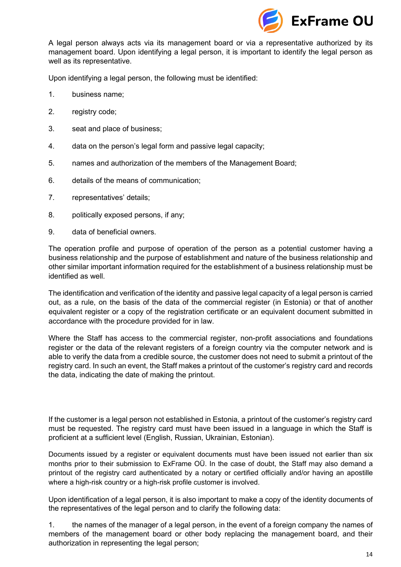

A legal person always acts via its management board or via a representative authorized by its management board. Upon identifying a legal person, it is important to identify the legal person as well as its representative.

Upon identifying a legal person, the following must be identified:

- 1. business name;
- 2. registry code;
- 3. seat and place of business;
- 4. data on the person's legal form and passive legal capacity;
- 5. names and authorization of the members of the Management Board;
- 6. details of the means of communication;
- 7. representatives' details;
- 8. politically exposed persons, if any;
- 9. data of beneficial owners.

The operation profile and purpose of operation of the person as a potential customer having a business relationship and the purpose of establishment and nature of the business relationship and other similar important information required for the establishment of a business relationship must be identified as well.

The identification and verification of the identity and passive legal capacity of a legal person is carried out, as a rule, on the basis of the data of the commercial register (in Estonia) or that of another equivalent register or a copy of the registration certificate or an equivalent document submitted in accordance with the procedure provided for in law.

Where the Staff has access to the commercial register, non-profit associations and foundations register or the data of the relevant registers of a foreign country via the computer network and is able to verify the data from a credible source, the customer does not need to submit a printout of the registry card. In such an event, the Staff makes a printout of the customer's registry card and records the data, indicating the date of making the printout.

If the customer is a legal person not established in Estonia, a printout of the customer's registry card must be requested. The registry card must have been issued in a language in which the Staff is proficient at a sufficient level (English, Russian, Ukrainian, Estonian).

Documents issued by a register or equivalent documents must have been issued not earlier than six months prior to their submission to ExFrame OÜ. In the case of doubt, the Staff may also demand a printout of the registry card authenticated by a notary or certified officially and/or having an apostille where a high-risk country or a high-risk profile customer is involved.

Upon identification of a legal person, it is also important to make a copy of the identity documents of the representatives of the legal person and to clarify the following data:

1. the names of the manager of a legal person, in the event of a foreign company the names of members of the management board or other body replacing the management board, and their authorization in representing the legal person;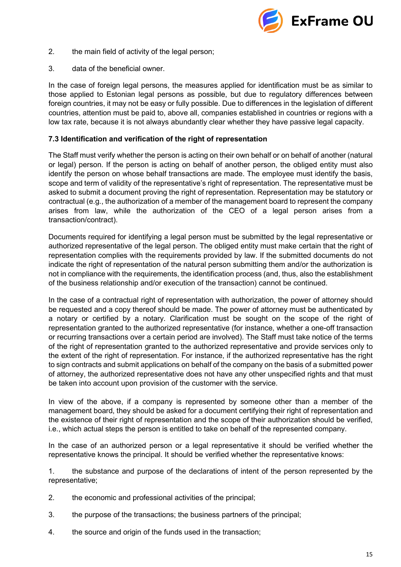

- 2. the main field of activity of the legal person;
- 3. data of the beneficial owner.

In the case of foreign legal persons, the measures applied for identification must be as similar to those applied to Estonian legal persons as possible, but due to regulatory differences between foreign countries, it may not be easy or fully possible. Due to differences in the legislation of different countries, attention must be paid to, above all, companies established in countries or regions with a low tax rate, because it is not always abundantly clear whether they have passive legal capacity.

#### **7.3 Identification and verification of the right of representation**

The Staff must verify whether the person is acting on their own behalf or on behalf of another (natural or legal) person. If the person is acting on behalf of another person, the obliged entity must also identify the person on whose behalf transactions are made. The employee must identify the basis, scope and term of validity of the representative's right of representation. The representative must be asked to submit a document proving the right of representation. Representation may be statutory or contractual (e.g., the authorization of a member of the management board to represent the company arises from law, while the authorization of the CEO of a legal person arises from a transaction/contract).

Documents required for identifying a legal person must be submitted by the legal representative or authorized representative of the legal person. The obliged entity must make certain that the right of representation complies with the requirements provided by law. If the submitted documents do not indicate the right of representation of the natural person submitting them and/or the authorization is not in compliance with the requirements, the identification process (and, thus, also the establishment of the business relationship and/or execution of the transaction) cannot be continued.

In the case of a contractual right of representation with authorization, the power of attorney should be requested and a copy thereof should be made. The power of attorney must be authenticated by a notary or certified by a notary. Clarification must be sought on the scope of the right of representation granted to the authorized representative (for instance, whether a one-off transaction or recurring transactions over a certain period are involved). The Staff must take notice of the terms of the right of representation granted to the authorized representative and provide services only to the extent of the right of representation. For instance, if the authorized representative has the right to sign contracts and submit applications on behalf of the company on the basis of a submitted power of attorney, the authorized representative does not have any other unspecified rights and that must be taken into account upon provision of the customer with the service.

In view of the above, if a company is represented by someone other than a member of the management board, they should be asked for a document certifying their right of representation and the existence of their right of representation and the scope of their authorization should be verified, i.e., which actual steps the person is entitled to take on behalf of the represented company.

In the case of an authorized person or a legal representative it should be verified whether the representative knows the principal. It should be verified whether the representative knows:

1. the substance and purpose of the declarations of intent of the person represented by the representative;

- 2. the economic and professional activities of the principal;
- 3. the purpose of the transactions; the business partners of the principal;
- 4. the source and origin of the funds used in the transaction;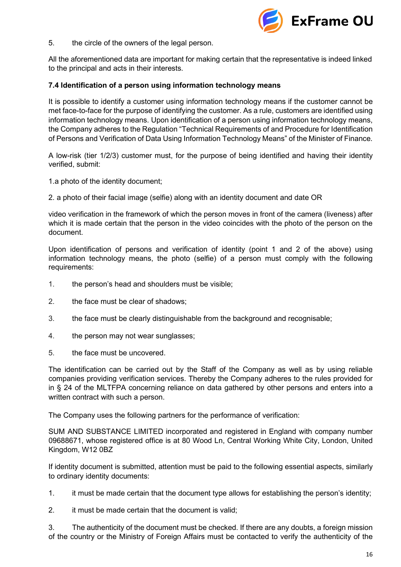

5. the circle of the owners of the legal person.

All the aforementioned data are important for making certain that the representative is indeed linked to the principal and acts in their interests.

#### **7.4 Identification of a person using information technology means**

It is possible to identify a customer using information technology means if the customer cannot be met face-to-face for the purpose of identifying the customer. As a rule, customers are identified using information technology means. Upon identification of a person using information technology means, the Company adheres to the Regulation "Technical Requirements of and Procedure for Identification of Persons and Verification of Data Using Information Technology Means" of the Minister of Finance.

A low-risk (tier 1/2/3) customer must, for the purpose of being identified and having their identity verified, submit:

1.a photo of the identity document;

2. a photo of their facial image (selfie) along with an identity document and date OR

video verification in the framework of which the person moves in front of the camera (liveness) after which it is made certain that the person in the video coincides with the photo of the person on the document.

Upon identification of persons and verification of identity (point 1 and 2 of the above) using information technology means, the photo (selfie) of a person must comply with the following requirements:

- 1. the person's head and shoulders must be visible;
- 2. the face must be clear of shadows;
- 3. the face must be clearly distinguishable from the background and recognisable;
- 4. the person may not wear sunglasses;
- 5. the face must be uncovered.

The identification can be carried out by the Staff of the Company as well as by using reliable companies providing verification services. Thereby the Company adheres to the rules provided for in § 24 of the MLTFPA concerning reliance on data gathered by other persons and enters into a written contract with such a person.

The Company uses the following partners for the performance of verification:

SUM AND SUBSTANCE LIMITED incorporated and registered in England with company number 09688671, whose registered office is at 80 Wood Ln, Central Working White City, London, United Kingdom, W12 0BZ

If identity document is submitted, attention must be paid to the following essential aspects, similarly to ordinary identity documents:

- 1. it must be made certain that the document type allows for establishing the person's identity;
- 2. it must be made certain that the document is valid;

3. The authenticity of the document must be checked. If there are any doubts, a foreign mission of the country or the Ministry of Foreign Affairs must be contacted to verify the authenticity of the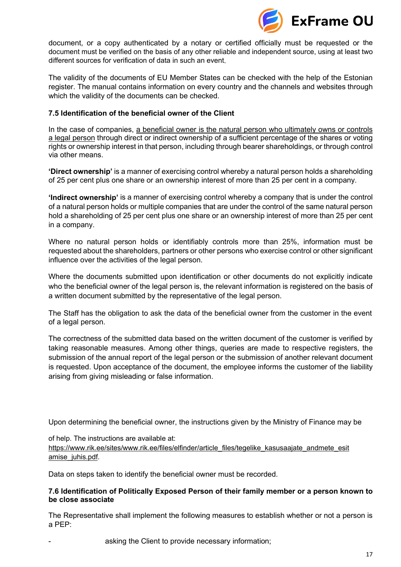

document, or a copy authenticated by a notary or certified officially must be requested or the document must be verified on the basis of any other reliable and independent source, using at least two different sources for verification of data in such an event.

The validity of the documents of EU Member States can be checked with the help of the Estonian register. The manual contains information on every country and the channels and websites through which the validity of the documents can be checked.

#### **7.5 Identification of the beneficial owner of the Client**

In the case of companies, a beneficial owner is the natural person who ultimately owns or controls a legal person through direct or indirect ownership of a sufficient percentage of the shares or voting rights or ownership interest in that person, including through bearer shareholdings, or through control via other means.

**'Direct ownership'** is a manner of exercising control whereby a natural person holds a shareholding of 25 per cent plus one share or an ownership interest of more than 25 per cent in a company.

**'Indirect ownership'** is a manner of exercising control whereby a company that is under the control of a natural person holds or multiple companies that are under the control of the same natural person hold a shareholding of 25 per cent plus one share or an ownership interest of more than 25 per cent in a company.

Where no natural person holds or identifiably controls more than 25%, information must be requested about the shareholders, partners or other persons who exercise control or other significant influence over the activities of the legal person.

Where the documents submitted upon identification or other documents do not explicitly indicate who the beneficial owner of the legal person is, the relevant information is registered on the basis of a written document submitted by the representative of the legal person.

The Staff has the obligation to ask the data of the beneficial owner from the customer in the event of a legal person.

The correctness of the submitted data based on the written document of the customer is verified by taking reasonable measures. Among other things, queries are made to respective registers, the submission of the annual report of the legal person or the submission of another relevant document is requested. Upon acceptance of the document, the employee informs the customer of the liability arising from giving misleading or false information.

Upon determining the beneficial owner, the instructions given by the Ministry of Finance may be

of help. The instructions are available at:

https://www.rik.ee/sites/www.rik.ee/files/elfinder/article\_files/tegelike\_kasusaajate\_andmete\_esit amise\_juhis.pdf.

Data on steps taken to identify the beneficial owner must be recorded.

#### **7.6 Identification of Politically Exposed Person of their family member or a person known to be close associate**

The Representative shall implement the following measures to establish whether or not a person is a PEP:

asking the Client to provide necessary information;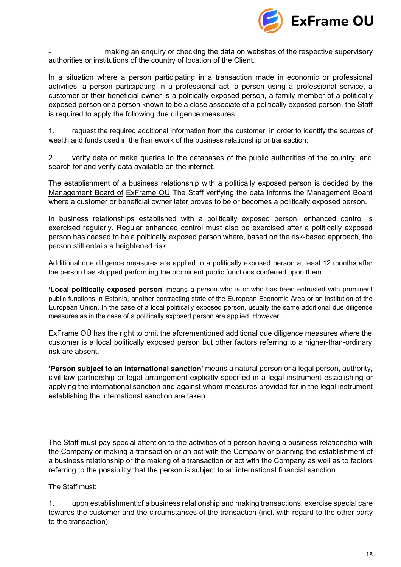

making an enquiry or checking the data on websites of the respective supervisory authorities or institutions of the country of location of the Client.

In a situation where a person participating in a transaction made in economic or professional activities, a person participating in a professional act, a person using a professional service, a customer or their beneficial owner is a politically exposed person, a family member of a politically exposed person or a person known to be a close associate of a politically exposed person, the Staff is required to apply the following due diligence measures:

1. request the required additional information from the customer, in order to identify the sources of wealth and funds used in the framework of the business relationship or transaction;

2. verify data or make queries to the databases of the public authorities of the country, and search for and verify data available on the internet.

The establishment of a business relationship with a politically exposed person is decided by the Management Board of ExFrame OÜ The Staff verifying the data informs the Management Board where a customer or beneficial owner later proves to be or becomes a politically exposed person.

In business relationships established with a politically exposed person, enhanced control is exercised regularly. Regular enhanced control must also be exercised after a politically exposed person has ceased to be a politically exposed person where, based on the risk-based approach, the person still entails a heightened risk.

Additional due diligence measures are applied to a politically exposed person at least 12 months after the person has stopped performing the prominent public functions conferred upon them.

**'Local politically exposed person**' means a person who is or who has been entrusted with prominent public functions in Estonia, another contracting state of the European Economic Area or an institution of the European Union. In the case of a local politically exposed person, usually the same additional due diligence measures as in the case of a politically exposed person are applied. However,

ExFrame OÜ has the right to omit the aforementioned additional due diligence measures where the customer is a local politically exposed person but other factors referring to a higher-than-ordinary risk are absent.

**'Person subject to an international sanction'** means a natural person or a legal person, authority, civil law partnership or legal arrangement explicitly specified in a legal instrument establishing or applying the international sanction and against whom measures provided for in the legal instrument establishing the international sanction are taken.

The Staff must pay special attention to the activities of a person having a business relationship with the Company or making a transaction or an act with the Company or planning the establishment of a business relationship or the making of a transaction or act with the Company as well as to factors referring to the possibility that the person is subject to an international financial sanction.

The Staff must:

1. upon establishment of a business relationship and making transactions, exercise special care towards the customer and the circumstances of the transaction (incl. with regard to the other party to the transaction);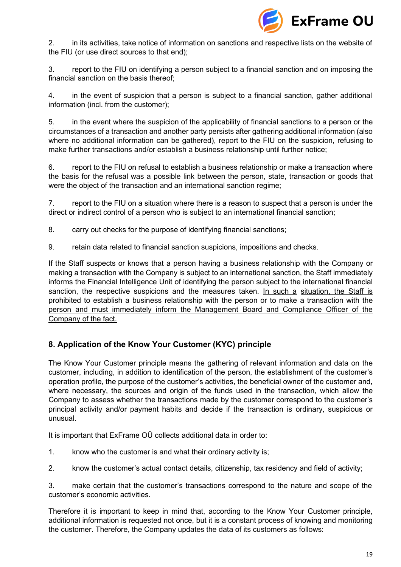

2. in its activities, take notice of information on sanctions and respective lists on the website of the FIU (or use direct sources to that end);

3. report to the FIU on identifying a person subject to a financial sanction and on imposing the financial sanction on the basis thereof;

4. in the event of suspicion that a person is subject to a financial sanction, gather additional information (incl. from the customer);

5. in the event where the suspicion of the applicability of financial sanctions to a person or the circumstances of a transaction and another party persists after gathering additional information (also where no additional information can be gathered), report to the FIU on the suspicion, refusing to make further transactions and/or establish a business relationship until further notice;

6. report to the FIU on refusal to establish a business relationship or make a transaction where the basis for the refusal was a possible link between the person, state, transaction or goods that were the object of the transaction and an international sanction regime;

7. report to the FIU on a situation where there is a reason to suspect that a person is under the direct or indirect control of a person who is subject to an international financial sanction;

8. carry out checks for the purpose of identifying financial sanctions;

9. retain data related to financial sanction suspicions, impositions and checks.

If the Staff suspects or knows that a person having a business relationship with the Company or making a transaction with the Company is subject to an international sanction, the Staff immediately informs the Financial Intelligence Unit of identifying the person subject to the international financial sanction, the respective suspicions and the measures taken. In such a situation, the Staff is prohibited to establish a business relationship with the person or to make a transaction with the person and must immediately inform the Management Board and Compliance Officer of the Company of the fact.

# <span id="page-18-0"></span>**8. Application of the Know Your Customer (KYC) principle**

The Know Your Customer principle means the gathering of relevant information and data on the customer, including, in addition to identification of the person, the establishment of the customer's operation profile, the purpose of the customer's activities, the beneficial owner of the customer and, where necessary, the sources and origin of the funds used in the transaction, which allow the Company to assess whether the transactions made by the customer correspond to the customer's principal activity and/or payment habits and decide if the transaction is ordinary, suspicious or unusual.

It is important that ExFrame OÜ collects additional data in order to:

- 1. know who the customer is and what their ordinary activity is;
- 2. know the customer's actual contact details, citizenship, tax residency and field of activity;

3. make certain that the customer's transactions correspond to the nature and scope of the customer's economic activities.

Therefore it is important to keep in mind that, according to the Know Your Customer principle, additional information is requested not once, but it is a constant process of knowing and monitoring the customer. Therefore, the Company updates the data of its customers as follows: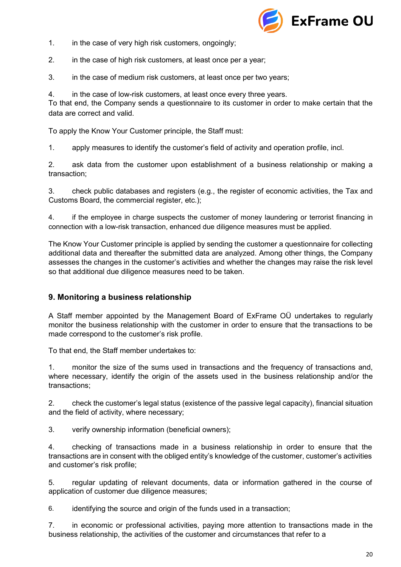

- 1. in the case of very high risk customers, ongoingly;
- 2. in the case of high risk customers, at least once per a year;
- 3. in the case of medium risk customers, at least once per two years;
- 4. in the case of low-risk customers, at least once every three years.

To that end, the Company sends a questionnaire to its customer in order to make certain that the data are correct and valid.

To apply the Know Your Customer principle, the Staff must:

1. apply measures to identify the customer's field of activity and operation profile, incl.

2. ask data from the customer upon establishment of a business relationship or making a transaction;

3. check public databases and registers (e.g., the register of economic activities, the Tax and Customs Board, the commercial register, etc.);

4. if the employee in charge suspects the customer of money laundering or terrorist financing in connection with a low-risk transaction, enhanced due diligence measures must be applied.

The Know Your Customer principle is applied by sending the customer a questionnaire for collecting additional data and thereafter the submitted data are analyzed. Among other things, the Company assesses the changes in the customer's activities and whether the changes may raise the risk level so that additional due diligence measures need to be taken.

## <span id="page-19-0"></span>**9. Monitoring a business relationship**

A Staff member appointed by the Management Board of ExFrame OÜ undertakes to regularly monitor the business relationship with the customer in order to ensure that the transactions to be made correspond to the customer's risk profile.

To that end, the Staff member undertakes to:

1. monitor the size of the sums used in transactions and the frequency of transactions and, where necessary, identify the origin of the assets used in the business relationship and/or the transactions;

2. check the customer's legal status (existence of the passive legal capacity), financial situation and the field of activity, where necessary;

3. verify ownership information (beneficial owners);

4. checking of transactions made in a business relationship in order to ensure that the transactions are in consent with the obliged entity's knowledge of the customer, customer's activities and customer's risk profile;

5. regular updating of relevant documents, data or information gathered in the course of application of customer due diligence measures;

6. identifying the source and origin of the funds used in a transaction;

7. in economic or professional activities, paying more attention to transactions made in the business relationship, the activities of the customer and circumstances that refer to a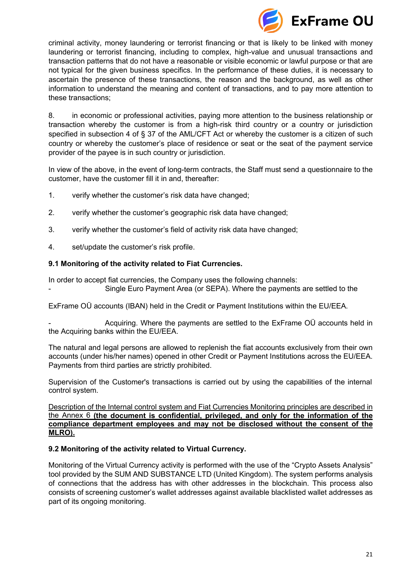

criminal activity, money laundering or terrorist financing or that is likely to be linked with money laundering or terrorist financing, including to complex, high-value and unusual transactions and transaction patterns that do not have a reasonable or visible economic or lawful purpose or that are not typical for the given business specifics. In the performance of these duties, it is necessary to ascertain the presence of these transactions, the reason and the background, as well as other information to understand the meaning and content of transactions, and to pay more attention to these transactions;

8. in economic or professional activities, paying more attention to the business relationship or transaction whereby the customer is from a high-risk third country or a country or jurisdiction specified in subsection 4 of § 37 of the AML/CFT Act or whereby the customer is a citizen of such country or whereby the customer's place of residence or seat or the seat of the payment service provider of the payee is in such country or jurisdiction.

In view of the above, in the event of long-term contracts, the Staff must send a questionnaire to the customer, have the customer fill it in and, thereafter:

- 1. verify whether the customer's risk data have changed;
- 2. verify whether the customer's geographic risk data have changed;
- 3. verify whether the customer's field of activity risk data have changed;
- 4. set/update the customer's risk profile.

#### **9.1 Monitoring of the activity related to Fiat Currencies.**

In order to accept fiat currencies, the Company uses the following channels: Single Euro Payment Area (or SEPA). Where the payments are settled to the

ExFrame OÜ accounts (IBAN) held in the Credit or Payment Institutions within the EU/EEA.

- Acquiring. Where the payments are settled to the ExFrame OÜ accounts held in the Acquiring banks within the EU/EEA.

The natural and legal persons are allowed to replenish the fiat accounts exclusively from their own accounts (under his/her names) opened in other Credit or Payment Institutions across the EU/EEA. Payments from third parties are strictly prohibited.

Supervision of the Customer's transactions is carried out by using the capabilities of the internal control system.

Description of the Internal control system and Fiat Currencies Monitoring principles are described in the Annex 6 **(the document is confidential, privileged, and only for the information of the compliance department employees and may not be disclosed without the consent of the MLRO).**

#### **9.2 Monitoring of the activity related to Virtual Currency.**

Monitoring of the Virtual Currency activity is performed with the use of the "Crypto Assets Analysis" tool provided by the SUM AND SUBSTANCE LTD (United Kingdom). The system performs analysis of connections that the address has with other addresses in the blockchain. This process also consists of screening customer's wallet addresses against available blacklisted wallet addresses as part of its ongoing monitoring.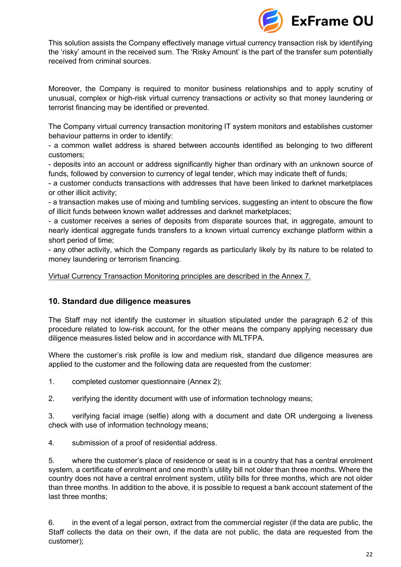

This solution assists the Company effectively manage virtual currency transaction risk by identifying the 'risky' amount in the received sum. The 'Risky Amount' is the part of the transfer sum potentially received from criminal sources.

Moreover, the Company is required to monitor business relationships and to apply scrutiny of unusual, complex or high-risk virtual currency transactions or activity so that money laundering or terrorist financing may be identified or prevented.

The Company virtual currency transaction monitoring IT system monitors and establishes customer behaviour patterns in order to identify:

- a common wallet address is shared between accounts identified as belonging to two different customers;

- deposits into an account or address significantly higher than ordinary with an unknown source of funds, followed by conversion to currency of legal tender, which may indicate theft of funds;

- a customer conducts transactions with addresses that have been linked to darknet marketplaces or other illicit activity;

- a transaction makes use of mixing and tumbling services, suggesting an intent to obscure the flow of illicit funds between known wallet addresses and darknet marketplaces;

- a customer receives a series of deposits from disparate sources that, in aggregate, amount to nearly identical aggregate funds transfers to a known virtual currency exchange platform within a short period of time;

- any other activity, which the Company regards as particularly likely by its nature to be related to money laundering or terrorism financing.

<span id="page-21-0"></span>Virtual Currency Transaction Monitoring principles are described in the Annex 7.

## **10. Standard due diligence measures**

The Staff may not identify the customer in situation stipulated under the paragraph 6.2 of this procedure related to low-risk account, for the other means the company applying necessary due diligence measures listed below and in accordance with MLTFPA.

Where the customer's risk profile is low and medium risk, standard due diligence measures are applied to the customer and the following data are requested from the customer:

1. completed customer questionnaire (Annex 2);

2. verifying the identity document with use of information technology means;

3. verifying facial image (selfie) along with a document and date OR undergoing a liveness check with use of information technology means;

4. submission of a proof of residential address.

5. where the customer's place of residence or seat is in a country that has a central enrolment system, a certificate of enrolment and one month's utility bill not older than three months. Where the country does not have a central enrolment system, utility bills for three months, which are not older than three months. In addition to the above, it is possible to request a bank account statement of the last three months;

6. in the event of a legal person, extract from the commercial register (if the data are public, the Staff collects the data on their own, if the data are not public, the data are requested from the customer);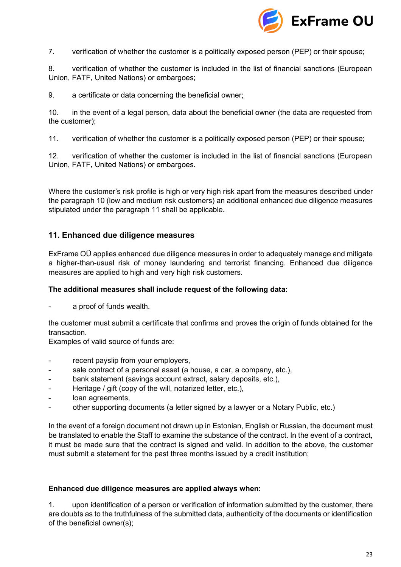

7. verification of whether the customer is a politically exposed person (PEP) or their spouse;

8. verification of whether the customer is included in the list of financial sanctions (European Union, FATF, United Nations) or embargoes;

9. a certificate or data concerning the beneficial owner;

10. in the event of a legal person, data about the beneficial owner (the data are requested from the customer);

11. verification of whether the customer is a politically exposed person (PEP) or their spouse;

12. verification of whether the customer is included in the list of financial sanctions (European Union, FATF, United Nations) or embargoes.

Where the customer's risk profile is high or very high risk apart from the measures described under the paragraph 10 (low and medium risk customers) an additional enhanced due diligence measures stipulated under the paragraph 11 shall be applicable.

## <span id="page-22-0"></span>**11. Enhanced due diligence measures**

ExFrame OÜ applies enhanced due diligence measures in order to adequately manage and mitigate a higher-than-usual risk of money laundering and terrorist financing. Enhanced due diligence measures are applied to high and very high risk customers.

#### **The additional measures shall include request of the following data:**

a proof of funds wealth.

the customer must submit a certificate that confirms and proves the origin of funds obtained for the transaction.

Еxamples of valid source of funds are:

- recent payslip from your employers,
- sale contract of a personal asset (a house, a car, a company, etc.),
- bank statement (savings account extract, salary deposits, etc.),
- Heritage / gift (copy of the will, notarized letter, etc.),
- loan agreements,
- other supporting documents (a letter signed by a lawyer or a Notary Public, etc.)

In the event of a foreign document not drawn up in Estonian, English or Russian, the document must be translated to enable the Staff to examine the substance of the contract. In the event of a contract, it must be made sure that the contract is signed and valid. In addition to the above, the customer must submit a statement for the past three months issued by a credit institution;

#### **Enhanced due diligence measures are applied always when:**

1. upon identification of a person or verification of information submitted by the customer, there are doubts as to the truthfulness of the submitted data, authenticity of the documents or identification of the beneficial owner(s);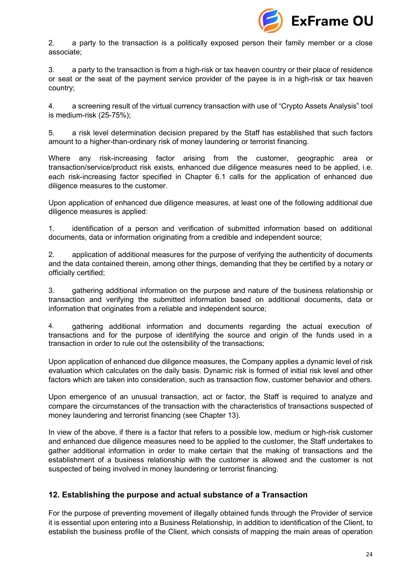

2. a party to the transaction is a politically exposed person their family member or a close associate;

3. a party to the transaction is from a high-risk or tax heaven country or their place of residence or seat or the seat of the payment service provider of the payee is in a high-risk or tax heaven country;

4. a screening result of the virtual currency transaction with use of "Crypto Assets Analysis" tool is medium-risk (25-75%);

5. a risk level determination decision prepared by the Staff has established that such factors amount to a higher-than-ordinary risk of money laundering or terrorist financing.

Where any risk-increasing factor arising from the customer, geographic area or transaction/service/product risk exists, enhanced due diligence measures need to be applied, i.e. each risk-increasing factor specified in Chapter 6.1 calls for the application of enhanced due diligence measures to the customer.

Upon application of enhanced due diligence measures, at least one of the following additional due diligence measures is applied:

1. identification of a person and verification of submitted information based on additional documents, data or information originating from a credible and independent source;

2. application of additional measures for the purpose of verifying the authenticity of documents and the data contained therein, among other things, demanding that they be certified by a notary or officially certified;

3. gathering additional information on the purpose and nature of the business relationship or transaction and verifying the submitted information based on additional documents, data or information that originates from a reliable and independent source;

4. gathering additional information and documents regarding the actual execution of transactions and for the purpose of identifying the source and origin of the funds used in a transaction in order to rule out the ostensibility of the transactions;

Upon application of enhanced due diligence measures, the Company applies a dynamic level of risk evaluation which calculates on the daily basis. Dynamic risk is formed of initial risk level and other factors which are taken into consideration, such as transaction flow, customer behavior and others.

Upon emergence of an unusual transaction, act or factor, the Staff is required to analyze and compare the circumstances of the transaction with the characteristics of transactions suspected of money laundering and terrorist financing (see Chapter 13).

In view of the above, if there is a factor that refers to a possible low, medium or high-risk customer and enhanced due diligence measures need to be applied to the customer, the Staff undertakes to gather additional information in order to make certain that the making of transactions and the establishment of a business relationship with the customer is allowed and the customer is not suspected of being involved in money laundering or terrorist financing.

## <span id="page-23-0"></span>**12. Establishing the purpose and actual substance of a Transaction**

For the purpose of preventing movement of illegally obtained funds through the Provider of service it is essential upon entering into a Business Relationship, in addition to identification of the Client, to establish the business profile of the Client, which consists of mapping the main areas of operation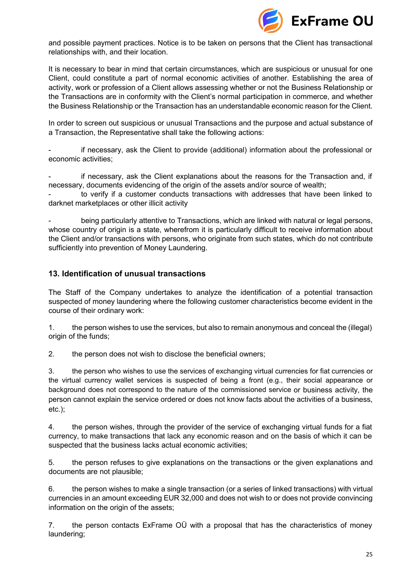

and possible payment practices. Notice is to be taken on persons that the Client has transactional relationships with, and their location.

It is necessary to bear in mind that certain circumstances, which are suspicious or unusual for one Client, could constitute a part of normal economic activities of another. Establishing the area of activity, work or profession of a Client allows assessing whether or not the Business Relationship or the Transactions are in conformity with the Client's normal participation in commerce, and whether the Business Relationship or the Transaction has an understandable economic reason for the Client.

In order to screen out suspicious or unusual Transactions and the purpose and actual substance of a Transaction, the Representative shall take the following actions:

if necessary, ask the Client to provide (additional) information about the professional or economic activities;

if necessary, ask the Client explanations about the reasons for the Transaction and, if necessary, documents evidencing of the origin of the assets and/or source of wealth;

to verify if a customer conducts transactions with addresses that have been linked to darknet marketplaces or other illicit activity

being particularly attentive to Transactions, which are linked with natural or legal persons, whose country of origin is a state, wherefrom it is particularly difficult to receive information about the Client and/or transactions with persons, who originate from such states, which do not contribute sufficiently into prevention of Money Laundering.

## <span id="page-24-0"></span>**13. Identification of unusual transactions**

The Staff of the Company undertakes to analyze the identification of a potential transaction suspected of money laundering where the following customer characteristics become evident in the course of their ordinary work:

1. the person wishes to use the services, but also to remain anonymous and conceal the (illegal) origin of the funds;

2. the person does not wish to disclose the beneficial owners;

3. the person who wishes to use the services of exchanging virtual currencies for fiat currencies or the virtual currency wallet services is suspected of being a front (e.g., their social appearance or background does not correspond to the nature of the commissioned service or business activity, the person cannot explain the service ordered or does not know facts about the activities of a business, etc.);

4. the person wishes, through the provider of the service of exchanging virtual funds for a fiat currency, to make transactions that lack any economic reason and on the basis of which it can be suspected that the business lacks actual economic activities;

5. the person refuses to give explanations on the transactions or the given explanations and documents are not plausible;

6. the person wishes to make a single transaction (or a series of linked transactions) with virtual currencies in an amount exceeding EUR 32,000 and does not wish to or does not provide convincing information on the origin of the assets;

7. the person contacts ExFrame OÜ with a proposal that has the characteristics of money laundering;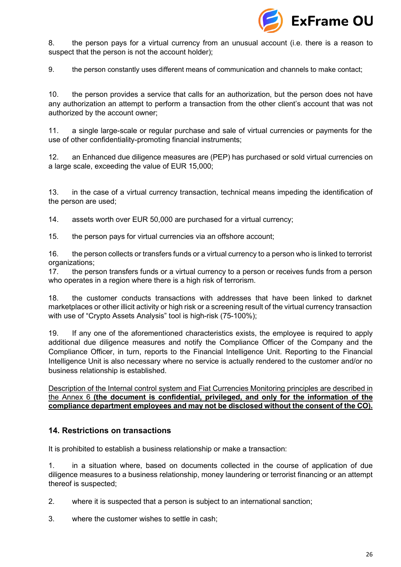

8. the person pays for a virtual currency from an unusual account (i.e. there is a reason to suspect that the person is not the account holder);

9. the person constantly uses different means of communication and channels to make contact;

10. the person provides a service that calls for an authorization, but the person does not have any authorization an attempt to perform a transaction from the other client's account that was not authorized by the account owner;

11. a single large-scale or regular purchase and sale of virtual currencies or payments for the use of other confidentiality-promoting financial instruments;

12. an Enhanced due diligence measures are (PEP) has purchased or sold virtual currencies on a large scale, exceeding the value of EUR 15,000;

13. in the case of a virtual currency transaction, technical means impeding the identification of the person are used;

14. assets worth over EUR 50,000 are purchased for a virtual currency;

15. the person pays for virtual currencies via an offshore account;

16. the person collects or transfers funds or a virtual currency to a person who is linked to terrorist organizations;

17. the person transfers funds or a virtual currency to a person or receives funds from a person who operates in a region where there is a high risk of terrorism.

18. the customer conducts transactions with addresses that have been linked to darknet marketplaces or other illicit activity or high risk or a screening result of the virtual currency transaction with use of "Crypto Assets Analysis" tool is high-risk (75-100%);

19. If any one of the aforementioned characteristics exists, the employee is required to apply additional due diligence measures and notify the Compliance Officer of the Company and the Compliance Officer, in turn, reports to the Financial Intelligence Unit. Reporting to the Financial Intelligence Unit is also necessary where no service is actually rendered to the customer and/or no business relationship is established.

Description of the Internal control system and Fiat Currencies Monitoring principles are described in the Annex 6 **(the document is confidential, privileged, and only for the information of the compliance department employees and may not be disclosed without the consent of the CO).**

## **14. Restrictions on transactions**

It is prohibited to establish a business relationship or make a transaction:

1. in a situation where, based on documents collected in the course of application of due diligence measures to a business relationship, money laundering or terrorist financing or an attempt thereof is suspected;

2. where it is suspected that a person is subject to an international sanction;

3. where the customer wishes to settle in cash;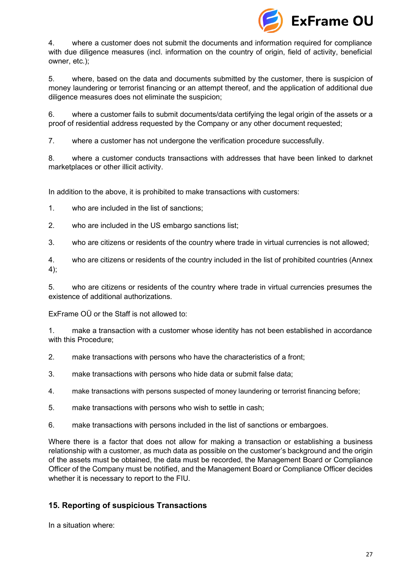

4. where a customer does not submit the documents and information required for compliance with due diligence measures (incl. information on the country of origin, field of activity, beneficial owner, etc.);

5. where, based on the data and documents submitted by the customer, there is suspicion of money laundering or terrorist financing or an attempt thereof, and the application of additional due diligence measures does not eliminate the suspicion;

6. where a customer fails to submit documents/data certifying the legal origin of the assets or a proof of residential address requested by the Company or any other document requested;

7. where a customer has not undergone the verification procedure successfully.

8. where a customer conducts transactions with addresses that have been linked to darknet marketplaces or other illicit activity.

In addition to the above, it is prohibited to make transactions with customers:

1. who are included in the list of sanctions;

- 2. who are included in the US embargo sanctions list;
- 3. who are citizens or residents of the country where trade in virtual currencies is not allowed;

4. who are citizens or residents of the country included in the list of prohibited countries (Annex 4);

5. who are citizens or residents of the country where trade in virtual currencies presumes the existence of additional authorizations.

ExFrame OÜ or the Staff is not allowed to:

1. make a transaction with a customer whose identity has not been established in accordance with this Procedure;

- 2. make transactions with persons who have the characteristics of a front;
- 3. make transactions with persons who hide data or submit false data;
- 4. make transactions with persons suspected of money laundering or terrorist financing before;
- 5. make transactions with persons who wish to settle in cash;
- 6. make transactions with persons included in the list of sanctions or embargoes.

Where there is a factor that does not allow for making a transaction or establishing a business relationship with a customer, as much data as possible on the customer's background and the origin of the assets must be obtained, the data must be recorded, the Management Board or Compliance Officer of the Company must be notified, and the Management Board or Compliance Officer decides whether it is necessary to report to the FIU.

## <span id="page-26-0"></span>**15. Reporting of suspicious Transactions**

In a situation where: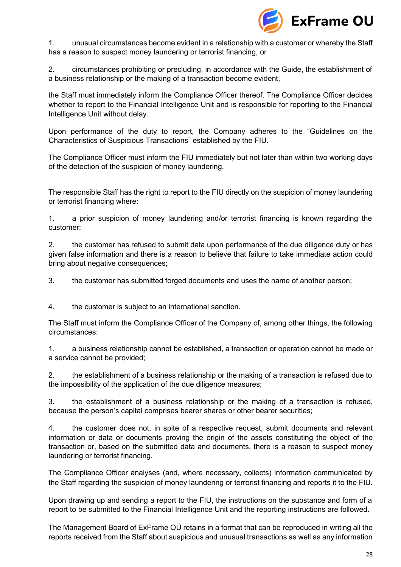

1. unusual circumstances become evident in a relationship with a customer or whereby the Staff has a reason to suspect money laundering or terrorist financing, or

2. circumstances prohibiting or precluding, in accordance with the Guide, the establishment of a business relationship or the making of a transaction become evident,

the Staff must immediately inform the Compliance Officer thereof. The Compliance Officer decides whether to report to the Financial Intelligence Unit and is responsible for reporting to the Financial Intelligence Unit without delay.

Upon performance of the duty to report, the Company adheres to the "Guidelines on the Characteristics of Suspicious Transactions" established by the FIU.

The Compliance Officer must inform the FIU immediately but not later than within two working days of the detection of the suspicion of money laundering.

The responsible Staff has the right to report to the FIU directly on the suspicion of money laundering or terrorist financing where:

1. a prior suspicion of money laundering and/or terrorist financing is known regarding the customer;

2. the customer has refused to submit data upon performance of the due diligence duty or has given false information and there is a reason to believe that failure to take immediate action could bring about negative consequences;

3. the customer has submitted forged documents and uses the name of another person;

4. the customer is subject to an international sanction.

The Staff must inform the Compliance Officer of the Company of, among other things, the following circumstances:

1. a business relationship cannot be established, a transaction or operation cannot be made or a service cannot be provided;

2. the establishment of a business relationship or the making of a transaction is refused due to the impossibility of the application of the due diligence measures;

3. the establishment of a business relationship or the making of a transaction is refused, because the person's capital comprises bearer shares or other bearer securities;

4. the customer does not, in spite of a respective request, submit documents and relevant information or data or documents proving the origin of the assets constituting the object of the transaction or, based on the submitted data and documents, there is a reason to suspect money laundering or terrorist financing.

The Compliance Officer analyses (and, where necessary, collects) information communicated by the Staff regarding the suspicion of money laundering or terrorist financing and reports it to the FIU.

Upon drawing up and sending a report to the FIU, the instructions on the substance and form of a report to be submitted to the Financial Intelligence Unit and the reporting instructions are followed.

The Management Board of ExFrame OÜ retains in a format that can be reproduced in writing all the reports received from the Staff about suspicious and unusual transactions as well as any information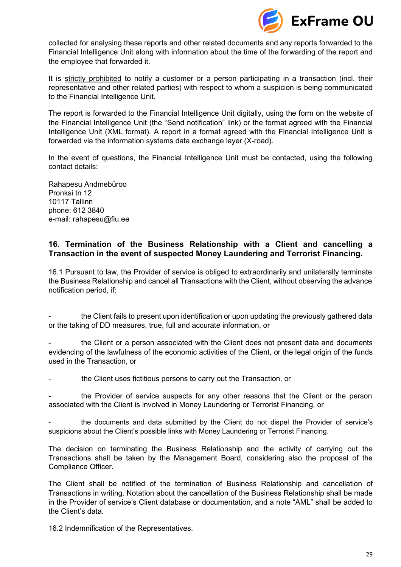

collected for analysing these reports and other related documents and any reports forwarded to the Financial Intelligence Unit along with information about the time of the forwarding of the report and the employee that forwarded it.

It is strictly prohibited to notify a customer or a person participating in a transaction (incl. their representative and other related parties) with respect to whom a suspicion is being communicated to the Financial Intelligence Unit.

The report is forwarded to the Financial Intelligence Unit digitally, using the form on the website of the Financial Intelligence Unit (the "Send notification" link) or the format agreed with the Financial Intelligence Unit (XML format). A report in a format agreed with the Financial Intelligence Unit is forwarded via the information systems data exchange layer (X-road).

In the event of questions, the Financial Intelligence Unit must be contacted, using the following contact details:

Rahapesu Andmebüroo Pronksi tn 12 10117 Tallinn phone: 612 3840 e-mail: rahapesu@fiu.ee

## <span id="page-28-0"></span>**16. Termination of the Business Relationship with a Client and cancelling a Transaction in the event of suspected Money Laundering and Terrorist Financing.**

16.1 Pursuant to law, the Provider of service is obliged to extraordinarily and unilaterally terminate the Business Relationship and cancel all Transactions with the Client, without observing the advance notification period, if:

the Client fails to present upon identification or upon updating the previously gathered data or the taking of DD measures, true, full and accurate information, or

the Client or a person associated with the Client does not present data and documents evidencing of the lawfulness of the economic activities of the Client, or the legal origin of the funds used in the Transaction, or

the Client uses fictitious persons to carry out the Transaction, or

the Provider of service suspects for any other reasons that the Client or the person associated with the Client is involved in Money Laundering or Terrorist Financing, or

the documents and data submitted by the Client do not dispel the Provider of service's suspicions about the Client's possible links with Money Laundering or Terrorist Financing.

The decision on terminating the Business Relationship and the activity of carrying out the Transactions shall be taken by the Management Board, considering also the proposal of the Compliance Officer.

The Client shall be notified of the termination of Business Relationship and cancellation of Transactions in writing. Notation about the cancellation of the Business Relationship shall be made in the Provider of service's Client database or documentation, and a note "AML" shall be added to the Client's data.

16.2 Indemnification of the Representatives.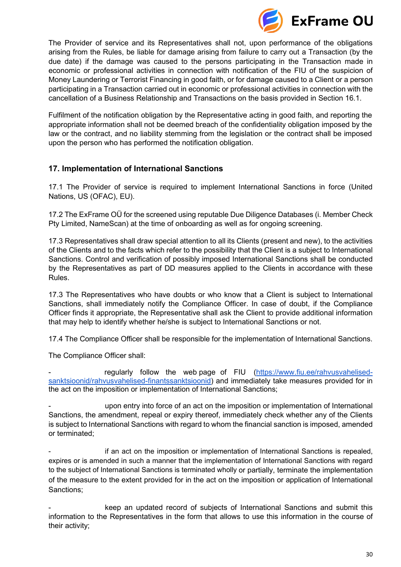

The Provider of service and its Representatives shall not, upon performance of the obligations arising from the Rules, be liable for damage arising from failure to carry out a Transaction (by the due date) if the damage was caused to the persons participating in the Transaction made in economic or professional activities in connection with notification of the FIU of the suspicion of Money Laundering or Terrorist Financing in good faith, or for damage caused to a Client or a person participating in a Transaction carried out in economic or professional activities in connection with the cancellation of a Business Relationship and Transactions on the basis provided in Section 16.1.

Fulfilment of the notification obligation by the Representative acting in good faith, and reporting the appropriate information shall not be deemed breach of the confidentiality obligation imposed by the law or the contract, and no liability stemming from the legislation or the contract shall be imposed upon the person who has performed the notification obligation.

# <span id="page-29-0"></span>**17. Implementation of International Sanctions**

17.1 The Provider of service is required to implement International Sanctions in force (United Nations, US (OFAC), EU).

17.2 The ExFrame OÜ for the screened using reputable Due Diligence Databases (i. Member Check Pty Limited, NameScan) at the time of onboarding as well as for ongoing screening.

17.3 Representatives shall draw special attention to all its Clients (present and new), to the activities of the Clients and to the facts which refer to the possibility that the Client is a subject to International Sanctions. Control and verification of possibly imposed International Sanctions shall be conducted by the Representatives as part of DD measures applied to the Clients in accordance with these Rules.

17.3 The Representatives who have doubts or who know that a Client is subject to International Sanctions, shall immediately notify the Compliance Officer. In case of doubt, if the Compliance Officer finds it appropriate, the Representative shall ask the Client to provide additional information that may help to identify whether he/she is subject to International Sanctions or not.

17.4 The Compliance Officer shall be responsible for the implementation of International Sanctions.

The Compliance Officer shall:

regularly follow the web page of FIU [\(https://www.fiu.ee/rahvusvahelised](https://www.fiu.ee/rahvusvahelised-sanktsioonid/rahvusvahelised-finantssanktsioonid)[sanktsioonid/rahvusvahelised-finantssanktsioonid\)](https://www.fiu.ee/rahvusvahelised-sanktsioonid/rahvusvahelised-finantssanktsioonid) and immediately take measures provided for in the act on the imposition or implementation of International Sanctions;

upon entry into force of an act on the imposition or implementation of International Sanctions, the amendment, repeal or expiry thereof, immediately check whether any of the Clients is subject to International Sanctions with regard to whom the financial sanction is imposed, amended or terminated;

if an act on the imposition or implementation of International Sanctions is repealed, expires or is amended in such a manner that the implementation of International Sanctions with regard to the subject of International Sanctions is terminated wholly or partially, terminate the implementation of the measure to the extent provided for in the act on the imposition or application of International Sanctions;

keep an updated record of subjects of International Sanctions and submit this information to the Representatives in the form that allows to use this information in the course of their activity;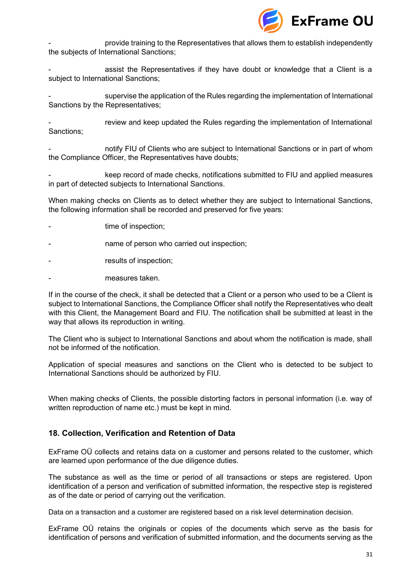

- provide training to the Representatives that allows them to establish independently the subjects of International Sanctions;

assist the Representatives if they have doubt or knowledge that a Client is a subject to International Sanctions;

supervise the application of the Rules regarding the implementation of International Sanctions by the Representatives;

review and keep updated the Rules regarding the implementation of International Sanctions;

notify FIU of Clients who are subject to International Sanctions or in part of whom the Compliance Officer, the Representatives have doubts;

keep record of made checks, notifications submitted to FIU and applied measures in part of detected subjects to International Sanctions.

When making checks on Clients as to detect whether they are subject to International Sanctions, the following information shall be recorded and preserved for five years:

- time of inspection;
- name of person who carried out inspection;
- results of inspection;
- measures taken.

If in the course of the check, it shall be detected that a Client or a person who used to be a Client is subject to International Sanctions, the Compliance Officer shall notify the Representatives who dealt with this Client, the Management Board and FIU. The notification shall be submitted at least in the way that allows its reproduction in writing.

The Client who is subject to International Sanctions and about whom the notification is made, shall not be informed of the notification.

Application of special measures and sanctions on the Client who is detected to be subject to International Sanctions should be authorized by FIU.

When making checks of Clients, the possible distorting factors in personal information (i.e. way of written reproduction of name etc.) must be kept in mind.

## <span id="page-30-0"></span>**18. Collection, Verification and Retention of Data**

ExFrame OÜ collects and retains data on a customer and persons related to the customer, which are learned upon performance of the due diligence duties.

The substance as well as the time or period of all transactions or steps are registered. Upon identification of a person and verification of submitted information, the respective step is registered as of the date or period of carrying out the verification.

Data on a transaction and a customer are registered based on a risk level determination decision.

ExFrame OÜ retains the originals or copies of the documents which serve as the basis for identification of persons and verification of submitted information, and the documents serving as the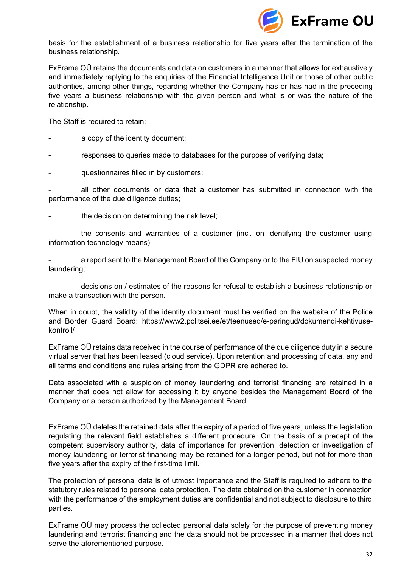

basis for the establishment of a business relationship for five years after the termination of the business relationship.

ExFrame OÜ retains the documents and data on customers in a manner that allows for exhaustively and immediately replying to the enquiries of the Financial Intelligence Unit or those of other public authorities, among other things, regarding whether the Company has or has had in the preceding five years a business relationship with the given person and what is or was the nature of the relationship.

The Staff is required to retain:

- a copy of the identity document;
- responses to queries made to databases for the purpose of verifying data;
- questionnaires filled in by customers;

all other documents or data that a customer has submitted in connection with the performance of the due diligence duties;

the decision on determining the risk level;

the consents and warranties of a customer (incl. on identifying the customer using information technology means);

a report sent to the Management Board of the Company or to the FIU on suspected money laundering;

- decisions on / estimates of the reasons for refusal to establish a business relationship or make a transaction with the person.

When in doubt, the validity of the identity document must be verified on the website of the Police and Border Guard Board: https://www2.politsei.ee/et/teenused/e-paringud/dokumendi-kehtivusekontroll/

ExFrame OÜ retains data received in the course of performance of the due diligence duty in a secure virtual server that has been leased (cloud service). Upon retention and processing of data, any and all terms and conditions and rules arising from the GDPR are adhered to.

Data associated with a suspicion of money laundering and terrorist financing are retained in a manner that does not allow for accessing it by anyone besides the Management Board of the Company or a person authorized by the Management Board.

ExFrame OÜ deletes the retained data after the expiry of a period of five years, unless the legislation regulating the relevant field establishes a different procedure. On the basis of a precept of the competent supervisory authority, data of importance for prevention, detection or investigation of money laundering or terrorist financing may be retained for a longer period, but not for more than five years after the expiry of the first-time limit.

The protection of personal data is of utmost importance and the Staff is required to adhere to the statutory rules related to personal data protection. The data obtained on the customer in connection with the performance of the employment duties are confidential and not subject to disclosure to third parties.

ExFrame OÜ may process the collected personal data solely for the purpose of preventing money laundering and terrorist financing and the data should not be processed in a manner that does not serve the aforementioned purpose.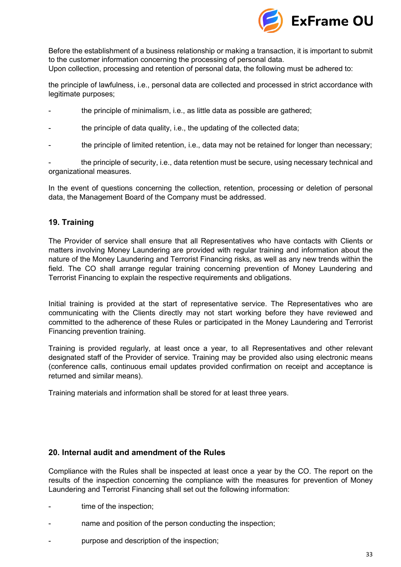

Before the establishment of a business relationship or making a transaction, it is important to submit to the customer information concerning the processing of personal data. Upon collection, processing and retention of personal data, the following must be adhered to:

the principle of lawfulness, i.e., personal data are collected and processed in strict accordance with legitimate purposes;

- the principle of minimalism, i.e., as little data as possible are gathered;
- the principle of data quality, i.e., the updating of the collected data;
- the principle of limited retention, i.e., data may not be retained for longer than necessary;

the principle of security, i.e., data retention must be secure, using necessary technical and organizational measures.

In the event of questions concerning the collection, retention, processing or deletion of personal data, the Management Board of the Company must be addressed.

## <span id="page-32-0"></span>**19. Training**

The Provider of service shall ensure that all Representatives who have contacts with Clients or matters involving Money Laundering are provided with regular training and information about the nature of the Money Laundering and Terrorist Financing risks, as well as any new trends within the field. The CO shall arrange regular training concerning prevention of Money Laundering and Terrorist Financing to explain the respective requirements and obligations.

Initial training is provided at the start of representative service. The Representatives who are communicating with the Clients directly may not start working before they have reviewed and committed to the adherence of these Rules or participated in the Money Laundering and Terrorist Financing prevention training.

Training is provided regularly, at least once a year, to all Representatives and other relevant designated staff of the Provider of service. Training may be provided also using electronic means (conference calls, continuous email updates provided confirmation on receipt and acceptance is returned and similar means).

Training materials and information shall be stored for at least three years.

#### <span id="page-32-1"></span>**20. Internal audit and amendment of the Rules**

Compliance with the Rules shall be inspected at least once a year by the CO. The report on the results of the inspection concerning the compliance with the measures for prevention of Money Laundering and Terrorist Financing shall set out the following information:

- time of the inspection;
- name and position of the person conducting the inspection;
- purpose and description of the inspection;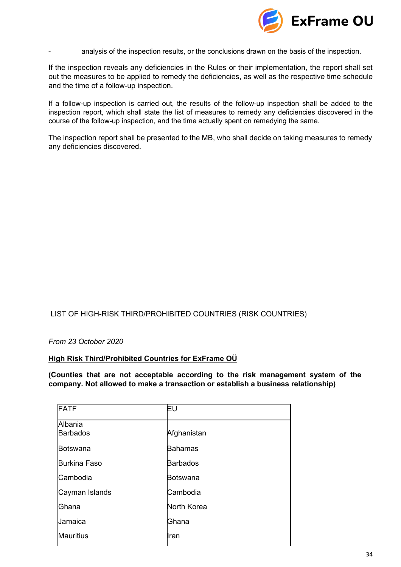

analysis of the inspection results, or the conclusions drawn on the basis of the inspection.

If the inspection reveals any deficiencies in the Rules or their implementation, the report shall set out the measures to be applied to remedy the deficiencies, as well as the respective time schedule and the time of a follow-up inspection.

If a follow-up inspection is carried out, the results of the follow-up inspection shall be added to the inspection report, which shall state the list of measures to remedy any deficiencies discovered in the course of the follow-up inspection, and the time actually spent on remedying the same.

The inspection report shall be presented to the MB, who shall decide on taking measures to remedy any deficiencies discovered.

#### LIST OF HIGH-RISK THIRD/PROHIBITED COUNTRIES (RISK COUNTRIES)

*From 23 October 2020*

#### **High Risk Third/Prohibited Countries for ExFrame OÜ**

**(Counties that are not acceptable according to the risk management system of the company. Not allowed to make a transaction or establish a business relationship)**

| <b>FATF</b>         | Eυ                 |
|---------------------|--------------------|
| Albania             |                    |
| <b>Barbados</b>     | Afghanistan        |
| Botswana            | <b>Bahamas</b>     |
| <b>Burkina Faso</b> | <b>Barbados</b>    |
| Cambodia            | Botswana           |
| Cayman Islands      | Cambodia           |
| Ghana               | <b>North Korea</b> |
| Jamaica             | Ghana              |
| <b>Mauritius</b>    | Iran               |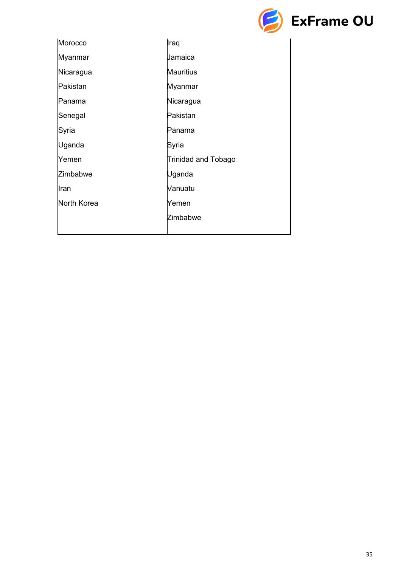

| Morocco            | Iraq                       |
|--------------------|----------------------------|
| Myanmar            | Jamaica                    |
| Nicaragua          | <b>Mauritius</b>           |
| Pakistan           | Myanmar                    |
| Panama             | Nicaragua                  |
| Senegal            | Pakistan                   |
| Syria              | Panama                     |
| Uganda             | Syria                      |
| Yemen              | <b>Trinidad and Tobago</b> |
| Zimbabwe           | Uganda                     |
| Iran               | Vanuatu                    |
| <b>North Korea</b> | Yemen                      |
|                    | Zimbabwe                   |
|                    |                            |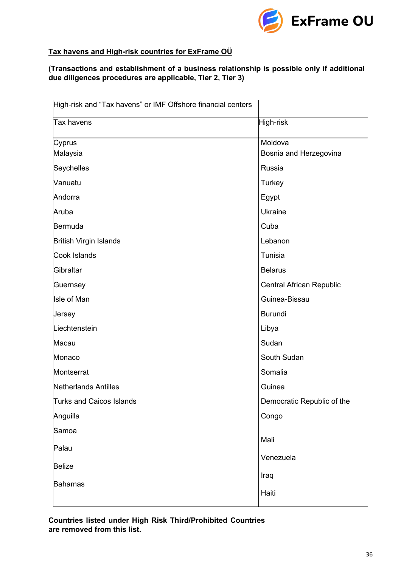

# **Tax havens and High-risk countries for ExFrame OÜ**

## **(Transactions and establishment of a business relationship is possible only if additional due diligences procedures are applicable, Tier 2, Tier 3)**

| High-risk and "Tax havens" or IMF Offshore financial centers |                            |
|--------------------------------------------------------------|----------------------------|
| <b>Tax havens</b>                                            | High-risk                  |
| Cyprus                                                       | Moldova                    |
| Malaysia                                                     | Bosnia and Herzegovina     |
| Seychelles                                                   | Russia                     |
| Vanuatu                                                      | <b>Turkey</b>              |
| Andorra                                                      | Egypt                      |
| Aruba                                                        | <b>Ukraine</b>             |
| Bermuda                                                      | Cuba                       |
| <b>British Virgin Islands</b>                                | Lebanon                    |
| Cook Islands                                                 | Tunisia                    |
| Gibraltar                                                    | <b>Belarus</b>             |
| Guernsey                                                     | Central African Republic   |
| <b>Isle of Man</b>                                           | Guinea-Bissau              |
| Jersey                                                       | <b>Burundi</b>             |
| Liechtenstein                                                | Libya                      |
| Macau                                                        | Sudan                      |
| Monaco                                                       | South Sudan                |
| Montserrat                                                   | Somalia                    |
| <b>Netherlands Antilles</b>                                  | Guinea                     |
| <b>Turks and Caicos Islands</b>                              | Democratic Republic of the |
| Anguilla                                                     | Congo                      |
| Samoa                                                        |                            |
| Palau                                                        | Mali                       |
|                                                              | Venezuela                  |
| <b>Belize</b>                                                | Iraq                       |
| <b>Bahamas</b>                                               | Haiti                      |
|                                                              |                            |

**Countries listed under High Risk Third/Prohibited Countries are removed from this list.**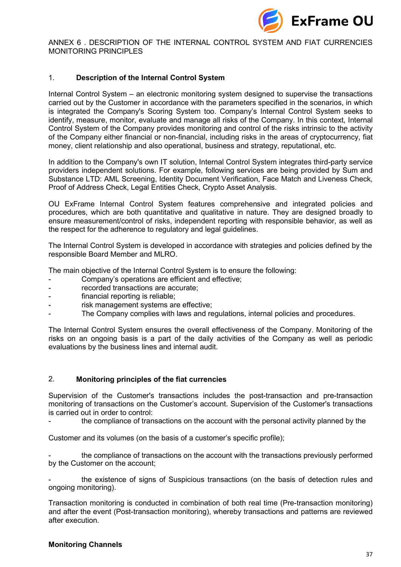

ANNEX 6 . DESCRIPTION OF THE INTERNAL CONTROL SYSTEM AND FIAT CURRENCIES MONITORING PRINCIPLES

#### 1. **Description of the Internal Control System**

Internal Control System – an electronic monitoring system designed to supervise the transactions carried out by the Customer in accordance with the parameters specified in the scenarios, in which is integrated the Company's Scoring System too. Company's Internal Control System seeks to identify, measure, monitor, evaluate and manage all risks of the Company. In this context, Internal Control System of the Company provides monitoring and control of the risks intrinsic to the activity of the Company either financial or non-financial, including risks in the areas of cryptocurrency, fiat money, client relationship and also operational, business and strategy, reputational, etc.

In addition to the Company's own IT solution, Internal Control System integrates third-party service providers independent solutions. For example, following services are being provided by Sum and Substance LTD: AML Screening, Identity Document Verification, Face Match and Liveness Check, Proof of Address Check, Legal Entities Check, Crypto Asset Analysis.

OU ExFrame Internal Control System features comprehensive and integrated policies and procedures, which are both quantitative and qualitative in nature. They are designed broadly to ensure measurement/control of risks, independent reporting with responsible behavior, as well as the respect for the adherence to regulatory and legal guidelines.

The Internal Control System is developed in accordance with strategies and policies defined by the responsible Board Member and MLRO.

The main objective of the Internal Control System is to ensure the following:

- Company's operations are efficient and effective;
- recorded transactions are accurate:
- financial reporting is reliable;
- risk management systems are effective;
- The Company complies with laws and regulations, internal policies and procedures.

The Internal Control System ensures the overall effectiveness of the Company. Monitoring of the risks on an ongoing basis is a part of the daily activities of the Company as well as periodic evaluations by the business lines and internal audit.

#### 2. **Monitoring principles of the fiat currencies**

Supervision of the Customer's transactions includes the post-transaction and pre-transaction monitoring of transactions on the Customer's account. Supervision of the Customer's transactions is carried out in order to control:

the compliance of transactions on the account with the personal activity planned by the

Customer and its volumes (on the basis of a customer's specific profile);

the compliance of transactions on the account with the transactions previously performed by the Customer on the account;

the existence of signs of Suspicious transactions (on the basis of detection rules and ongoing monitoring).

Transaction monitoring is conducted in combination of both real time (Pre-transaction monitoring) and after the event (Post-transaction monitoring), whereby transactions and patterns are reviewed after execution.

#### **Monitoring Channels**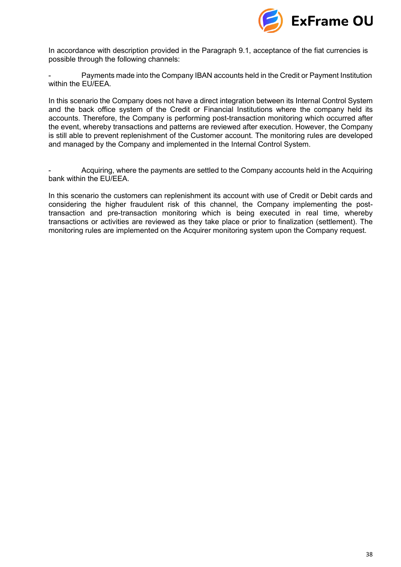

In accordance with description provided in the Paragraph 9.1, acceptance of the fiat currencies is possible through the following channels:

Payments made into the Company IBAN accounts held in the Credit or Payment Institution within the EU/EEA.

In this scenario the Company does not have a direct integration between its Internal Control System and the back office system of the Credit or Financial Institutions where the company held its accounts. Therefore, the Company is performing post-transaction monitoring which occurred after the event, whereby transactions and patterns are reviewed after execution. However, the Company is still able to prevent replenishment of the Customer account. The monitoring rules are developed and managed by the Company and implemented in the Internal Control System.

- Acquiring, where the payments are settled to the Company accounts held in the Acquiring bank within the EU/EEA.

In this scenario the customers can replenishment its account with use of Credit or Debit cards and considering the higher fraudulent risk of this channel, the Company implementing the posttransaction and pre-transaction monitoring which is being executed in real time, whereby transactions or activities are reviewed as they take place or prior to finalization (settlement). The monitoring rules are implemented on the Acquirer monitoring system upon the Company request.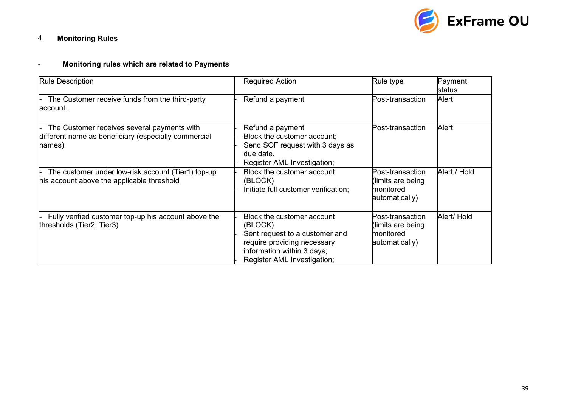

# 4. **Monitoring Rules**

# - **Monitoring rules which are related to Payments**

| <b>Rule Description</b>                                                                                        | <b>Required Action</b>                                                                                                                                              | Rule type                                                            | Payment<br>status |
|----------------------------------------------------------------------------------------------------------------|---------------------------------------------------------------------------------------------------------------------------------------------------------------------|----------------------------------------------------------------------|-------------------|
| The Customer receive funds from the third-party<br>laccount.                                                   | Refund a payment                                                                                                                                                    | Post-transaction                                                     | Alert             |
| The Customer receives several payments with<br>different name as beneficiary (especially commercial<br>names). | Refund a payment<br>Block the customer account;<br>Send SOF request with 3 days as<br>due date.<br>Register AML Investigation;                                      | Post-transaction                                                     | Alert             |
| The customer under low-risk account (Tier1) top-up<br>his account above the applicable threshold               | Block the customer account<br>(BLOCK)<br>Initiate full customer verification;                                                                                       | Post-transaction<br>(limits are being<br>monitored<br>automatically) | Alert / Hold      |
| Fully verified customer top-up his account above the<br>thresholds (Tier2, Tier3)                              | Block the customer account<br>(BLOCK)<br>Sent request to a customer and<br>require providing necessary<br>information within 3 days;<br>Register AML Investigation; | Post-transaction<br>(limits are being<br>monitored<br>automatically) | Alert/ Hold       |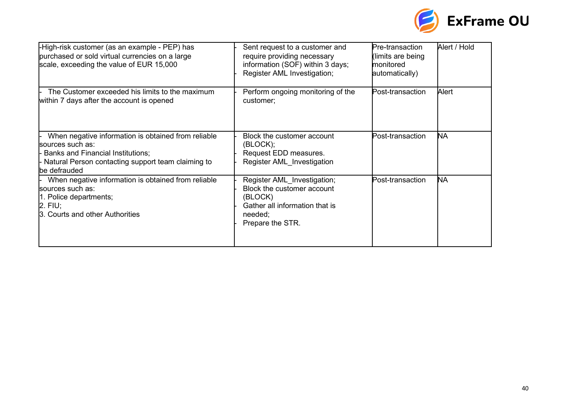

| High-risk customer (as an example - PEP) has<br>purchased or sold virtual currencies on a large<br>scale, exceeding the value of EUR 15,000                                                 | Sent request to a customer and<br>require providing necessary<br>information (SOF) within 3 days;<br>Register AML Investigation;      | Pre-transaction<br>(limits are being<br>monitored<br>automatically) | Alert / Hold |
|---------------------------------------------------------------------------------------------------------------------------------------------------------------------------------------------|---------------------------------------------------------------------------------------------------------------------------------------|---------------------------------------------------------------------|--------------|
| The Customer exceeded his limits to the maximum<br>within 7 days after the account is opened                                                                                                | Perform ongoing monitoring of the<br>customer;                                                                                        | Post-transaction                                                    | Alert        |
| When negative information is obtained from reliable<br>sources such as:<br><b>Banks and Financial Institutions;</b><br>- Natural Person contacting support team claiming to<br>be defrauded | Block the customer account<br>(BLOCK);<br>Request EDD measures.<br>Register AML Investigation                                         | Post-transaction                                                    | NA           |
| When negative information is obtained from reliable<br>sources such as:<br>1. Police departments;<br>$2.$ FIU;<br>3. Courts and other Authorities                                           | Register AML Investigation;<br>Block the customer account<br>(BLOCK)<br>Gather all information that is<br>needed;<br>Prepare the STR. | Post-transaction                                                    | <b>NA</b>    |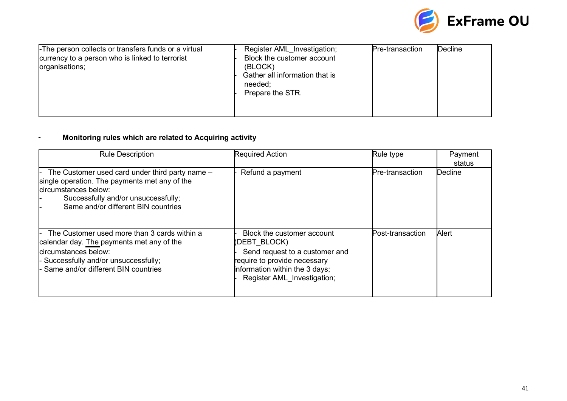

|                                                                                                                           |                                                                                                                                       |                 | <b>ExFrame OU</b> |
|---------------------------------------------------------------------------------------------------------------------------|---------------------------------------------------------------------------------------------------------------------------------------|-----------------|-------------------|
| -The person collects or transfers funds or a virtual<br>currency to a person who is linked to terrorist<br>organisations; | Register AML_Investigation;<br>Block the customer account<br>(BLOCK)<br>Gather all information that is<br>needed;<br>Prepare the STR. | Pre-transaction | <b>Decline</b>    |

## - **Monitoring rules which are related to Acquiring activity**

| <b>Rule Description</b>                                                                                                                                                                                | <b>Required Action</b>                                                                                                                                                        | Rule type        | Payment<br>status |
|--------------------------------------------------------------------------------------------------------------------------------------------------------------------------------------------------------|-------------------------------------------------------------------------------------------------------------------------------------------------------------------------------|------------------|-------------------|
| The Customer used card under third party name -<br>single operation. The payments met any of the<br>circumstances below:<br>Successfully and/or unsuccessfully;<br>Same and/or different BIN countries | Refund a payment                                                                                                                                                              | Pre-transaction  | Decline           |
| The Customer used more than 3 cards within a<br>calendar day. The payments met any of the<br>circumstances below:<br>- Successfully and/or unsuccessfully;<br>- Same and/or different BIN countries    | Block the customer account<br>(DEBT BLOCK)<br>Send request to a customer and<br>require to provide necessary<br>information within the 3 days;<br>Register AML Investigation; | Post-transaction | Alert             |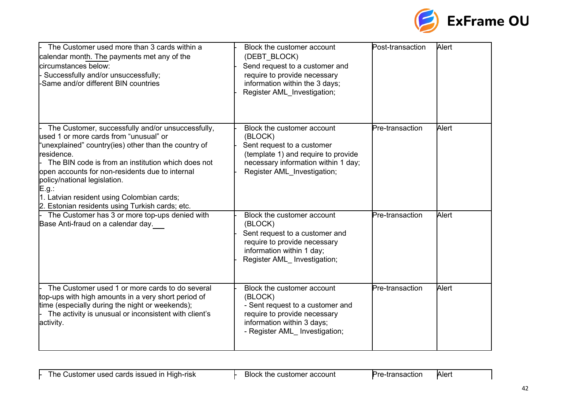

| The Customer used more than 3 cards within a<br>calendar month. The payments met any of the<br>circumstances below:<br>Successfully and/or unsuccessfully;<br>-Same and/or different BIN countries                                                                                                                                                                                                                   | Block the customer account<br>(DEBT BLOCK)<br>Send request to a customer and<br>require to provide necessary<br>information within the 3 days;<br>Register AML_Investigation;    | Post-transaction | Alert |
|----------------------------------------------------------------------------------------------------------------------------------------------------------------------------------------------------------------------------------------------------------------------------------------------------------------------------------------------------------------------------------------------------------------------|----------------------------------------------------------------------------------------------------------------------------------------------------------------------------------|------------------|-------|
| The Customer, successfully and/or unsuccessfully,<br>used 1 or more cards from "unusual" or<br>"unexplained" country(ies) other than the country of<br>residence.<br>The BIN code is from an institution which does not<br>open accounts for non-residents due to internal<br>policy/national legislation.<br>E.g.:<br>1. Latvian resident using Colombian cards;<br>2. Estonian residents using Turkish cards; etc. | Block the customer account<br>(BLOCK)<br>Sent request to a customer<br>(template 1) and require to provide<br>necessary information within 1 day;<br>Register AML Investigation; | Pre-transaction  | Alert |
| The Customer has 3 or more top-ups denied with<br>Base Anti-fraud on a calendar day.                                                                                                                                                                                                                                                                                                                                 | Block the customer account<br>(BLOCK)<br>Sent request to a customer and<br>require to provide necessary<br>information within 1 day;<br>Register AML Investigation;              | Pre-transaction  | Alert |
| The Customer used 1 or more cards to do several<br>top-ups with high amounts in a very short period of<br>time (especially during the night or weekends);<br>The activity is unusual or inconsistent with client's<br>activity.                                                                                                                                                                                      | Block the customer account<br>(BLOCK)<br>- Sent request to a customer and<br>require to provide necessary<br>information within 3 days;<br>- Register AML Investigation;         | Pre-transaction  | Alert |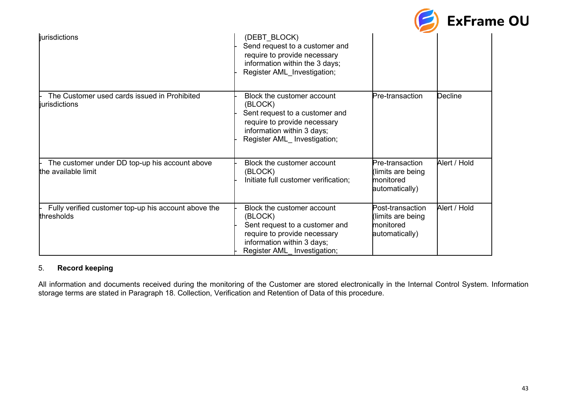

| <b>jurisdictions</b>                                                  | (DEBT BLOCK)<br>Send request to a customer and<br>require to provide necessary<br>information within the 3 days;<br>Register AML Investigation;                      |                                                                      |              |
|-----------------------------------------------------------------------|----------------------------------------------------------------------------------------------------------------------------------------------------------------------|----------------------------------------------------------------------|--------------|
| The Customer used cards issued in Prohibited<br>jurisdictions         | Block the customer account<br>(BLOCK)<br>Sent request to a customer and<br>require to provide necessary<br>information within 3 days;<br>Register AML Investigation; | Pre-transaction                                                      | Decline      |
| The customer under DD top-up his account above<br>the available limit | Block the customer account<br>(BLOCK)<br>Initiate full customer verification;                                                                                        | Pre-transaction<br>(limits are being<br>monitored<br>automatically)  | Alert / Hold |
| Fully verified customer top-up his account above the<br>thresholds    | Block the customer account<br>(BLOCK)<br>Sent request to a customer and<br>require to provide necessary<br>information within 3 days;<br>Register AML Investigation; | Post-transaction<br>(limits are being<br>monitored<br>automatically) | Alert / Hold |

## 5. **Record keeping**

All information and documents received during the monitoring of the Customer are stored electronically in the Internal Control System. Information storage terms are stated in Paragraph 18. Collection, Verification and Retention of Data of this procedure.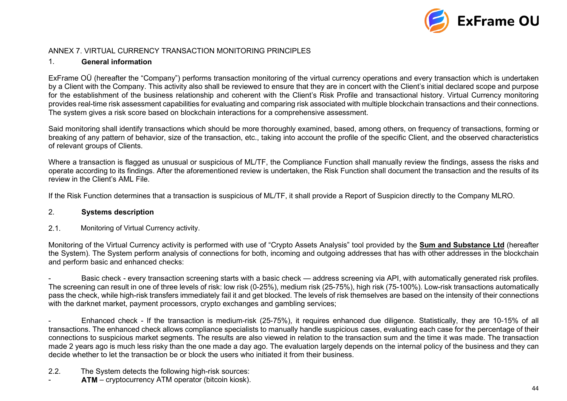

### ANNEX 7. VIRTUAL CURRENCY TRANSACTION MONITORING PRINCIPLES

## 1. **General information**

ExFrame OÜ (hereafter the "Company") performs transaction monitoring of the virtual currency operations and every transaction which is undertaken by a Client with the Company. This activity also shall be reviewed to ensure that they are in concert with the Client's initial declared scope and purpose for the establishment of the business relationship and coherent with the Client's Risk Profile and transactional history. Virtual Currency monitoring provides real-time risk assessment capabilities for evaluating and comparing risk associated with multiple blockchain transactions and their connections. The system gives a risk score based on blockchain interactions for a comprehensive assessment.

Said monitoring shall identify transactions which should be more thoroughly examined, based, among others, on frequency of transactions, forming or breaking of any pattern of behavior, size of the transaction, etc., taking into account the profile of the specific Client, and the observed characteristics of relevant groups of Clients.

Where a transaction is flagged as unusual or suspicious of ML/TF, the Compliance Function shall manually review the findings, assess the risks and operate according to its findings. After the aforementioned review is undertaken, the Risk Function shall document the transaction and the results of its review in the Client's AML File.

If the Risk Function determines that a transaction is suspicious of ML/TF, it shall provide a Report of Suspicion directly to the Company MLRO.

### <span id="page-43-0"></span>2. **Systems description**

2.1. Monitoring of Virtual Currency activity.

Monitoring of the Virtual Currency activity is performed with use of "Crypto Assets Analysis" tool provided by the **Sum and Substance Ltd** (hereafter the System). The System perform analysis of connections for both, incoming and outgoing addresses that has with other addresses in the blockchain and perform basic and enhanced checks:

Basic check - every transaction screening starts with a basic check — address screening via API, with automatically generated risk profiles. The screening can result in one of three levels of risk: low risk (0-25%), medium risk (25-75%), high risk (75-100%). Low-risk transactions automatically pass the check, while high-risk transfers immediately fail it and get blocked. The levels of risk themselves are based on the intensity of their connections with the darknet market, payment processors, crypto exchanges and gambling services;

- Enhanced check - If the transaction is medium-risk (25-75%), it requires enhanced due diligence. Statistically, they are 10-15% of all transactions. The enhanced check allows compliance specialists to manually handle suspicious cases, evaluating each case for the percentage of their connections to suspicious market segments. The results are also viewed in relation to the transaction sum and the time it was made. The transaction made 2 years ago is much less risky than the one made a day ago. The evaluation largely depends on the internal policy of the business and they can decide whether to let the transaction be or block the users who initiated it from their business.

- 2.2. The System detects the following high-risk sources:
- ATM cryptocurrency ATM operator (bitcoin kiosk).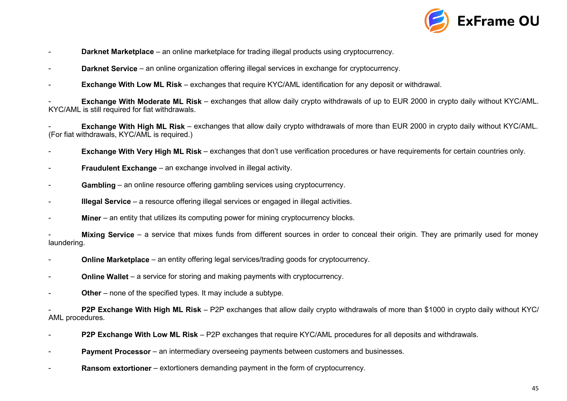

- **Darknet Marketplace**  an online marketplace for trading illegal products using cryptocurrency.
- **Darknet Service** an online organization offering illegal services in exchange for cryptocurrency.
- **Exchange With Low ML Risk** exchanges that require KYC/AML identification for any deposit or withdrawal.

**Exchange With Moderate ML Risk** – exchanges that allow daily crypto withdrawals of up to EUR 2000 in crypto daily without KYC/AML. KYC/AML is still required for fiat withdrawals.

**Exchange With High ML Risk** – exchanges that allow daily crypto withdrawals of more than EUR 2000 in crypto daily without KYC/AML. (For fiat withdrawals, KYC/AML is required.)

- **Exchange With Very High ML Risk** exchanges that don't use verification procedures or have requirements for certain countries only.
- **Fraudulent Exchange** an exchange involved in illegal activity.
- Gambling an online resource offering gambling services using cryptocurrency.
- **Illegal Service**  a resource offering illegal services or engaged in illegal activities.
- **Miner** an entity that utilizes its computing power for mining cryptocurrency blocks.

**Mixing Service** – a service that mixes funds from different sources in order to conceal their origin. They are primarily used for money laundering.

- **Online Marketplace** an entity offering legal services/trading goods for cryptocurrency.
- **Online Wallet** a service for storing and making payments with cryptocurrency.
- **Other** none of the specified types. It may include a subtype.

- **P2P Exchange With High ML Risk** – P2P exchanges that allow daily crypto withdrawals of more than \$1000 in crypto daily without KYC/ AML procedures.

- **P2P Exchange With Low ML Risk**  P2P exchanges that require KYC/AML procedures for all deposits and withdrawals.
- **Payment Processor** an intermediary overseeing payments between customers and businesses.
- **Ransom extortioner**  extortioners demanding payment in the form of cryptocurrency.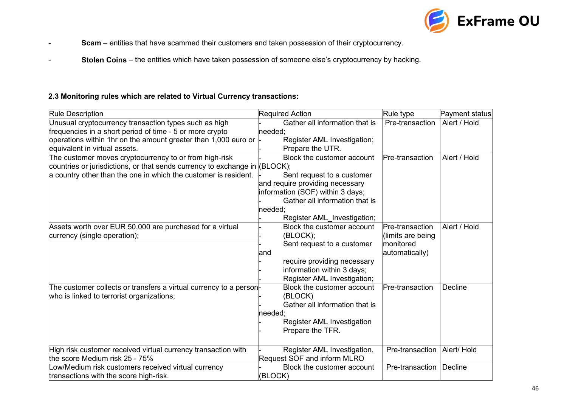

- **Scam**  entities that have scammed their customers and taken possession of their cryptocurrency.
- **Stolen Coins**  the entities which have taken possession of someone else's cryptocurrency by hacking.

## **2.3 Monitoring rules which are related to Virtual Currency transactions:**

| <b>Rule Description</b>                                            | <b>Required Action</b>           | Rule type        | Payment status |
|--------------------------------------------------------------------|----------------------------------|------------------|----------------|
| Unusual cryptocurrency transaction types such as high              | Gather all information that is   | Pre-transaction  | Alert / Hold   |
| frequencies in a short period of time - 5 or more crypto           | needed;                          |                  |                |
| operations within 1hr on the amount greater than 1,000 euro or     | Register AML Investigation;      |                  |                |
| equivalent in virtual assets.                                      | Prepare the UTR.                 |                  |                |
| The customer moves cryptocurrency to or from high-risk             | Block the customer account       | Pre-transaction  | Alert / Hold   |
| countries or jurisdictions, or that sends currency to exchange in  | (BLOCK);                         |                  |                |
| a country other than the one in which the customer is resident.    | Sent request to a customer       |                  |                |
|                                                                    | and require providing necessary  |                  |                |
|                                                                    | information (SOF) within 3 days; |                  |                |
|                                                                    | Gather all information that is   |                  |                |
|                                                                    | needed;                          |                  |                |
|                                                                    | Register AML Investigation;      |                  |                |
| Assets worth over EUR 50,000 are purchased for a virtual           | Block the customer account       | Pre-transaction  | Alert / Hold   |
| currency (single operation);                                       | (BLOCK);                         | limits are being |                |
|                                                                    | Sent request to a customer       | monitored        |                |
|                                                                    | land                             | automatically)   |                |
|                                                                    | require providing necessary      |                  |                |
|                                                                    | information within 3 days;       |                  |                |
|                                                                    | Register AML Investigation;      |                  |                |
| The customer collects or transfers a virtual currency to a person- | Block the customer account       | Pre-transaction  | <b>Decline</b> |
| who is linked to terrorist organizations;                          | (BLOCK)                          |                  |                |
|                                                                    | Gather all information that is   |                  |                |
|                                                                    | needed;                          |                  |                |
|                                                                    | Register AML Investigation       |                  |                |
|                                                                    | Prepare the TFR.                 |                  |                |
|                                                                    |                                  |                  |                |
| High risk customer received virtual currency transaction with      | Register AML Investigation,      | Pre-transaction  | Alert/ Hold    |
| the score Medium risk 25 - 75%                                     | Request SOF and inform MLRO      |                  |                |
| ow/Medium risk customers received virtual currency                 | Block the customer account       | Pre-transaction  | Decline        |
| transactions with the score high-risk.                             | (BLOCK)                          |                  |                |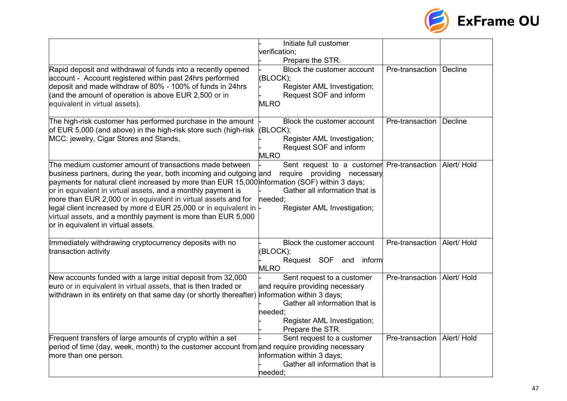

|                                                                                                                                                                                                                                                                                                                                                                                                                                                                                                                                                            | Initiate full customer<br>verification;<br>Prepare the STR.                                                                                                   |                               |  |
|------------------------------------------------------------------------------------------------------------------------------------------------------------------------------------------------------------------------------------------------------------------------------------------------------------------------------------------------------------------------------------------------------------------------------------------------------------------------------------------------------------------------------------------------------------|---------------------------------------------------------------------------------------------------------------------------------------------------------------|-------------------------------|--|
| Rapid deposit and withdrawal of funds into a recently opened<br>account - Account registered within past 24hrs performed<br>deposit and made withdraw of 80% - 100% of funds in 24hrs<br>(and the amount of operation is above EUR 2,500 or in<br>equivalent in virtual assets).                                                                                                                                                                                                                                                                           | Block the customer account<br>(BLOCK);<br>Register AML Investigation;<br>Request SOF and inform<br><b>MLRO</b>                                                | Pre-transaction   Decline     |  |
| The high-risk customer has performed purchase in the amount<br>of EUR 5,000 (and above) in the high-risk store such (high-risk<br>MCC: jewelry, Cigar Stores and Stands,                                                                                                                                                                                                                                                                                                                                                                                   | Block the customer account<br>(BLOCK);<br>Register AML Investigation;<br>Request SOF and inform<br><b>MLRO</b>                                                | Pre-transaction Decline       |  |
| The medium customer amount of transactions made between $\overline{ }$<br>business partners, during the year, both incoming and outgoing and<br>payments for natural client increased by more than EUR 15,000 information (SOF) within 3 days;<br>or in equivalent in virtual assets, and a monthly payment is<br>more than EUR 2,000 or in equivalent in virtual assets and for<br>legal client increased by more d EUR 25,000 or in equivalent in<br>virtual assets, and a monthly payment is more than EUR 5,000<br>or in equivalent in virtual assets. | Sent request to a customer<br>require providing<br>necessary<br>Gather all information that is<br>needed:<br>Register AML Investigation;                      | Pre-transaction   Alert/ Hold |  |
| Immediately withdrawing cryptocurrency deposits with no<br>transaction activity                                                                                                                                                                                                                                                                                                                                                                                                                                                                            | Block the customer account<br>(BLOCK);<br>Request SOF and<br>inform<br><b>MLRO</b>                                                                            | Pre-transaction   Alert/ Hold |  |
| New accounts funded with a large initial deposit from 32,000<br>euro or in equivalent in virtual assets, that is then traded or<br>withdrawn in its entirety on that same day (or shortly thereafter) information within 3 days;                                                                                                                                                                                                                                                                                                                           | Sent request to a customer<br>and require providing necessary<br>Gather all information that is<br>needed;<br>Register AML Investigation;<br>Prepare the STR. | Pre-transaction   Alert/ Hold |  |
| Frequent transfers of large amounts of crypto within a set<br>period of time (day, week, month) to the customer account from and require providing necessary<br>more than one person.                                                                                                                                                                                                                                                                                                                                                                      | Sent request to a customer<br>information within 3 days;<br>Gather all information that is<br>needed:                                                         | Pre-transaction   Alert/ Hold |  |